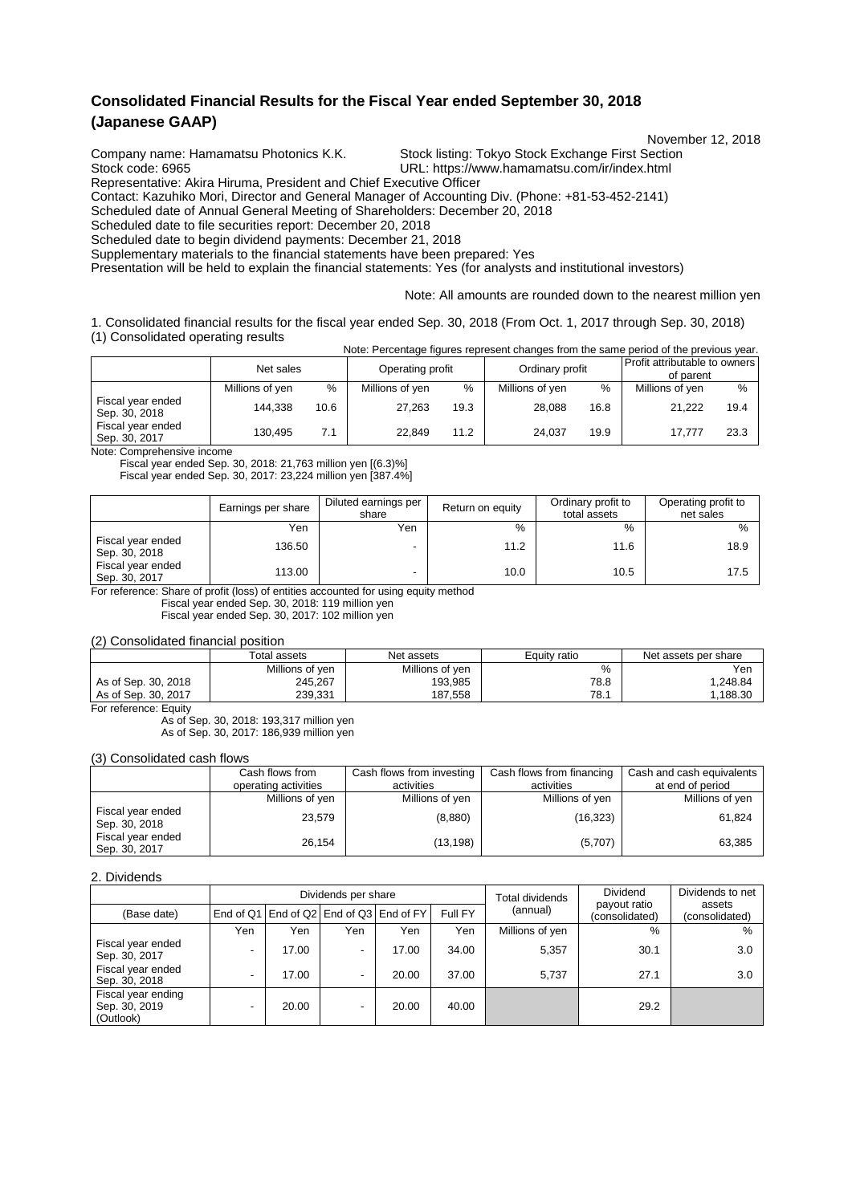## **Consolidated Financial Results for the Fiscal Year ended September 30, 2018 (Japanese GAAP)**

November 12, 2018

Company name: Hamamatsu Photonics K.K. Stock listing: Tokyo Stock Exchange First Section<br>URL: https://www.hamamatsu.com/ir/index.html

URL: https://www.hamamatsu.com/ir/index.html Representative: Akira Hiruma, President and Chief Executive Officer

Contact: Kazuhiko Mori, Director and General Manager of Accounting Div. (Phone: +81-53-452-2141)

Scheduled date of Annual General Meeting of Shareholders: December 20, 2018

Scheduled date to file securities report: December 20, 2018

Scheduled date to begin dividend payments: December 21, 2018

Supplementary materials to the financial statements have been prepared: Yes

Presentation will be held to explain the financial statements: Yes (for analysts and institutional investors)

Note: All amounts are rounded down to the nearest million yen

1. Consolidated financial results for the fiscal year ended Sep. 30, 2018 (From Oct. 1, 2017 through Sep. 30, 2018) (1) Consolidated operating results Note: Percentage figures represent changes from the same period of the previous year.

|                                    | Net sales       |      | Operating profit |      | Ordinary profit |      | <b>Profit attributable to owners I</b><br>of parent |      |
|------------------------------------|-----------------|------|------------------|------|-----------------|------|-----------------------------------------------------|------|
|                                    | Millions of yen | %    | Millions of yen  | %    | Millions of yen | %    | Millions of yen                                     | $\%$ |
| Fiscal year ended<br>Sep. 30, 2018 | 144.338         | 10.6 | 27.263           | 19.3 | 28.088          | 16.8 | 21.222                                              | 19.4 |
| Fiscal year ended<br>Sep. 30, 2017 | 130.495         | 7.1  | 22.849           | 11.2 | 24.037          | 19.9 | 17.777                                              | 23.3 |

Note: Comprehensive income

Fiscal year ended Sep. 30, 2018: 21,763 million yen [(6.3)%]

Fiscal year ended Sep. 30, 2017: 23,224 million yen [387.4%]

|                                    | Earnings per share | Diluted earnings per<br>share | Return on equity | Ordinary profit to<br>total assets | Operating profit to<br>net sales |
|------------------------------------|--------------------|-------------------------------|------------------|------------------------------------|----------------------------------|
|                                    | Yen                | Yen                           | %                | %                                  | $\frac{0}{0}$                    |
| Fiscal year ended<br>Sep. 30, 2018 | 136.50             |                               | 11.2             | 11.6                               | 18.9                             |
| Fiscal year ended<br>Sep. 30, 2017 | 113.00             |                               | 10.0             | 10.5                               | 17.5                             |

For reference: Share of profit (loss) of entities accounted for using equity method

Fiscal year ended Sep. 30, 2018: 119 million yen

Fiscal year ended Sep. 30, 2017: 102 million yen

(2) Consolidated financial position

|                     | Total assets    | Net assets      | Equity ratio | Net assets per share |
|---------------------|-----------------|-----------------|--------------|----------------------|
|                     | Millions of ven | Millions of yen | %            | Yen                  |
| As of Sep. 30, 2018 | 245.267         | 193.985         | 78.8         | .248.84              |
| As of Sep. 30, 2017 | 239.331         | 187.558         | 78.          | .188.30              |

For reference: Equity

As of Sep. 30, 2018: 193,317 million yen As of Sep. 30, 2017: 186,939 million yen

(3) Consolidated cash flows

|                                    | Cash flows from      | Cash flows from investing | Cash flows from financing | Cash and cash equivalents |
|------------------------------------|----------------------|---------------------------|---------------------------|---------------------------|
|                                    | operating activities | activities                | activities                | at end of period          |
|                                    | Millions of yen      | Millions of yen           | Millions of yen           | Millions of yen           |
| Fiscal year ended<br>Sep. 30, 2018 | 23.579               | (8,880)                   | (16, 323)                 | 61,824                    |
| Fiscal year ended<br>Sep. 30, 2017 | 26.154               | (13, 198)                 | (5,707)                   | 63,385                    |

#### 2. Dividends

|                                                  |     |       | Dividends per share                     |       |         | Total dividends | Dividend                       | Dividends to net         |
|--------------------------------------------------|-----|-------|-----------------------------------------|-------|---------|-----------------|--------------------------------|--------------------------|
| (Base date)                                      |     |       | End of Q1 End of Q2 End of Q3 End of FY |       | Full FY | (annual)        | payout ratio<br>(consolidated) | assets<br>(consolidated) |
|                                                  | Yen | Yen   | Yen                                     | Yen   | Yen     | Millions of yen | %                              | $\%$                     |
| Fiscal year ended<br>Sep. 30, 2017               |     | 17.00 |                                         | 17.00 | 34.00   | 5,357           | 30.1                           | 3.0                      |
| Fiscal year ended<br>Sep. 30, 2018               |     | 17.00 | ٠                                       | 20.00 | 37.00   | 5.737           | 27.1                           | 3.0                      |
| Fiscal year ending<br>Sep. 30, 2019<br>(Outlook) |     | 20.00 |                                         | 20.00 | 40.00   |                 | 29.2                           |                          |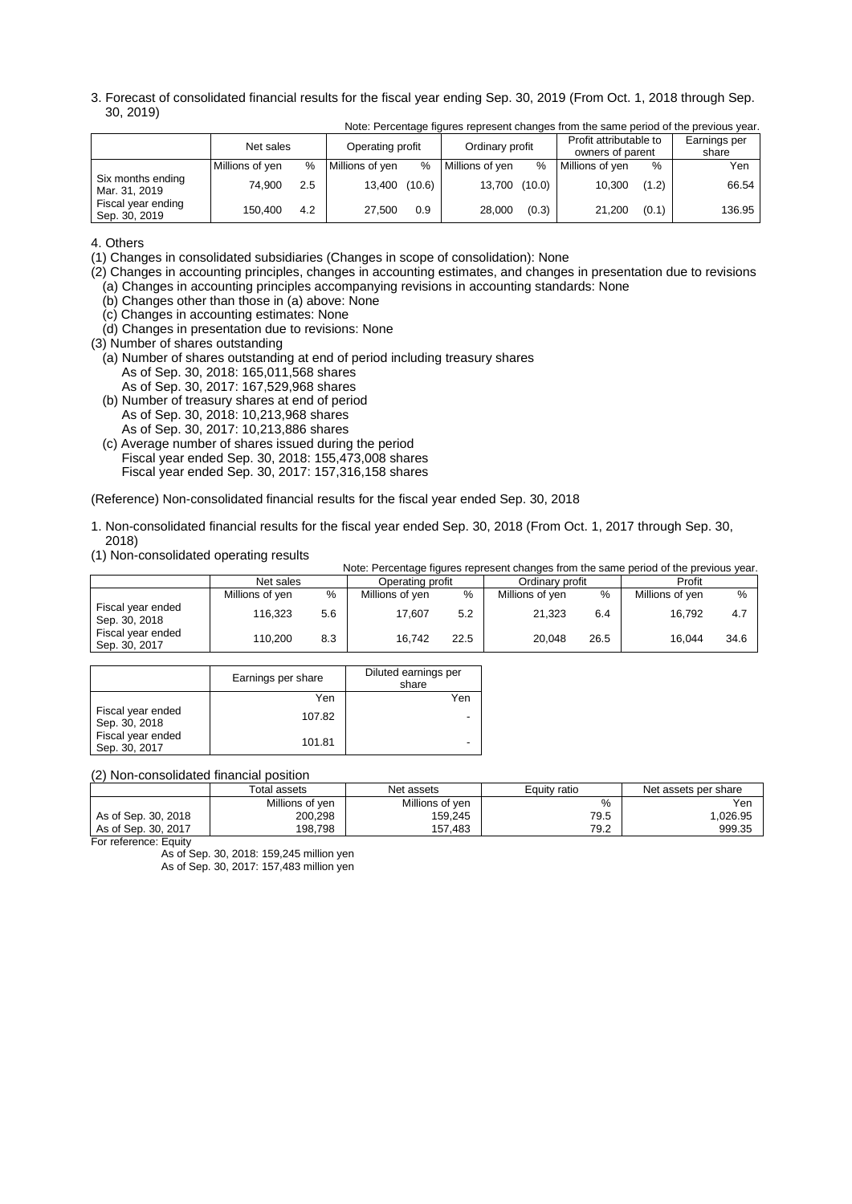3. Forecast of consolidated financial results for the fiscal year ending Sep. 30, 2019 (From Oct. 1, 2018 through Sep. 30, 2019) Note: Percentage figures represent changes from the same period of the previous year.

|                                     | Net sales       |     | Operating profit |        | Ordinary profit |       | Profit attributable to<br>owners of parent |       | Earnings per<br>share |
|-------------------------------------|-----------------|-----|------------------|--------|-----------------|-------|--------------------------------------------|-------|-----------------------|
|                                     | Millions of yen | %   | Millions of yen  | $\%$   | Millions of yen | %     | Millions of yen                            | %     | Yen                   |
| Six months ending<br>Mar. 31, 2019  | 74.900          | 2.5 | 13.400           | (10.6) | 13,700 (10.0)   |       | 10.300                                     | (1.2) | 66.54                 |
| Fiscal year ending<br>Sep. 30, 2019 | 150.400         | 4.2 | 27.500           | 0.9    | 28.000          | (0.3) | 21.200                                     | (0.1) | 136.95                |

4. Others

(1) Changes in consolidated subsidiaries (Changes in scope of consolidation): None

(2) Changes in accounting principles, changes in accounting estimates, and changes in presentation due to revisions (a) Changes in accounting principles accompanying revisions in accounting standards: None

(b) Changes other than those in (a) above: None

- (c) Changes in accounting estimates: None
- (d) Changes in presentation due to revisions: None
- (3) Number of shares outstanding
- (a) Number of shares outstanding at end of period including treasury shares As of Sep. 30, 2018: 165,011,568 shares
	- As of Sep. 30, 2017: 167,529,968 shares
- (b) Number of treasury shares at end of period As of Sep. 30, 2018: 10,213,968 shares As of Sep. 30, 2017: 10,213,886 shares
- (c) Average number of shares issued during the period Fiscal year ended Sep. 30, 2018: 155,473,008 shares Fiscal year ended Sep. 30, 2017: 157,316,158 shares

(Reference) Non-consolidated financial results for the fiscal year ended Sep. 30, 2018

- 1. Non-consolidated financial results for the fiscal year ended Sep. 30, 2018 (From Oct. 1, 2017 through Sep. 30, 2018)
- (1) Non-consolidated operating results

|                                    |                 |     | Note: Percentage figures represent changes from the same period of the previous year. |      |                 |      |                 |      |
|------------------------------------|-----------------|-----|---------------------------------------------------------------------------------------|------|-----------------|------|-----------------|------|
|                                    | Net sales       |     | Operating profit                                                                      |      | Ordinary profit |      | Profit          |      |
|                                    | Millions of yen | %   | Millions of yen                                                                       | %    | Millions of yen | %    | Millions of yen | %    |
| Fiscal year ended<br>Sep. 30, 2018 | 116.323         | 5.6 | 17.607                                                                                | 5.2  | 21.323          | 6.4  | 16.792          | 4.7  |
| Fiscal year ended<br>Sep. 30, 2017 | 110.200         | 8.3 | 16.742                                                                                | 22.5 | 20.048          | 26.5 | 16.044          | 34.6 |

|                                    | Earnings per share | Diluted earnings per<br>share |
|------------------------------------|--------------------|-------------------------------|
|                                    | Yen                | Yen                           |
| Fiscal year ended<br>Sep. 30, 2018 | 107.82             |                               |
| Fiscal year ended<br>Sep. 30, 2017 | 101.81             |                               |

(2) Non-consolidated financial position

|                     | Total assets    | Net assets      | Equity ratio | Net assets per share |
|---------------------|-----------------|-----------------|--------------|----------------------|
|                     | Millions of yen | Millions of yen | %            | Yen                  |
| As of Sep. 30, 2018 | 200,298         | 159.245         | 79.5         | .026.95              |
| As of Sep. 30, 2017 | 198.798         | 157.483         | 79.2         | 999.35               |

For reference: Equity

As of Sep. 30, 2018: 159,245 million yen

As of Sep. 30, 2017: 157,483 million yen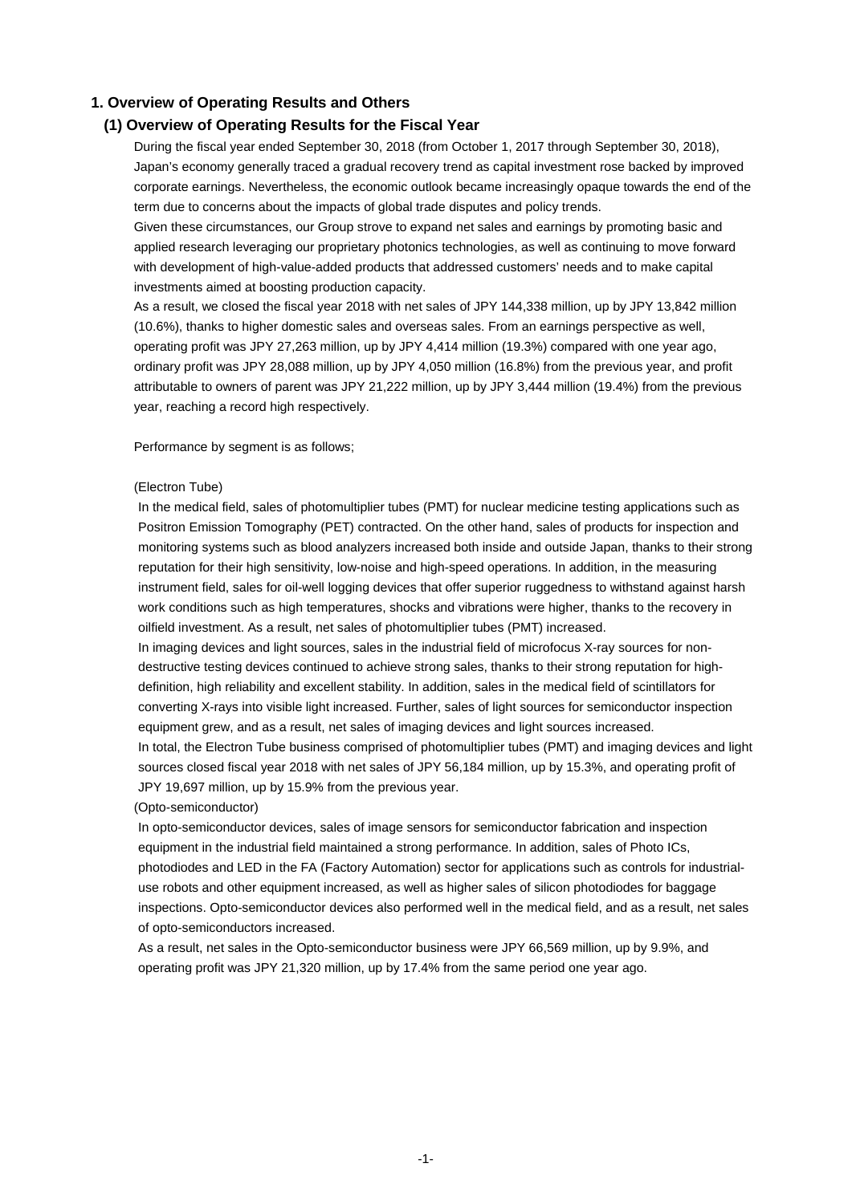#### **1. Overview of Operating Results and Others**

#### **(1) Overview of Operating Results for the Fiscal Year**

During the fiscal year ended September 30, 2018 (from October 1, 2017 through September 30, 2018), Japan's economy generally traced a gradual recovery trend as capital investment rose backed by improved corporate earnings. Nevertheless, the economic outlook became increasingly opaque towards the end of the term due to concerns about the impacts of global trade disputes and policy trends.

Given these circumstances, our Group strove to expand net sales and earnings by promoting basic and applied research leveraging our proprietary photonics technologies, as well as continuing to move forward with development of high-value-added products that addressed customers' needs and to make capital investments aimed at boosting production capacity.

As a result, we closed the fiscal year 2018 with net sales of JPY 144,338 million, up by JPY 13,842 million (10.6%), thanks to higher domestic sales and overseas sales. From an earnings perspective as well, operating profit was JPY 27,263 million, up by JPY 4,414 million (19.3%) compared with one year ago, ordinary profit was JPY 28,088 million, up by JPY 4,050 million (16.8%) from the previous year, and profit attributable to owners of parent was JPY 21,222 million, up by JPY 3,444 million (19.4%) from the previous year, reaching a record high respectively.

Performance by segment is as follows;

#### (Electron Tube)

In the medical field, sales of photomultiplier tubes (PMT) for nuclear medicine testing applications such as Positron Emission Tomography (PET) contracted. On the other hand, sales of products for inspection and monitoring systems such as blood analyzers increased both inside and outside Japan, thanks to their strong reputation for their high sensitivity, low-noise and high-speed operations. In addition, in the measuring instrument field, sales for oil-well logging devices that offer superior ruggedness to withstand against harsh work conditions such as high temperatures, shocks and vibrations were higher, thanks to the recovery in oilfield investment. As a result, net sales of photomultiplier tubes (PMT) increased.

In imaging devices and light sources, sales in the industrial field of microfocus X-ray sources for nondestructive testing devices continued to achieve strong sales, thanks to their strong reputation for highdefinition, high reliability and excellent stability. In addition, sales in the medical field of scintillators for converting X-rays into visible light increased. Further, sales of light sources for semiconductor inspection equipment grew, and as a result, net sales of imaging devices and light sources increased.

In total, the Electron Tube business comprised of photomultiplier tubes (PMT) and imaging devices and light sources closed fiscal year 2018 with net sales of JPY 56,184 million, up by 15.3%, and operating profit of JPY 19,697 million, up by 15.9% from the previous year.

#### (Opto-semiconductor)

In opto-semiconductor devices, sales of image sensors for semiconductor fabrication and inspection equipment in the industrial field maintained a strong performance. In addition, sales of Photo ICs, photodiodes and LED in the FA (Factory Automation) sector for applications such as controls for industrialuse robots and other equipment increased, as well as higher sales of silicon photodiodes for baggage inspections. Opto-semiconductor devices also performed well in the medical field, and as a result, net sales of opto-semiconductors increased.

As a result, net sales in the Opto-semiconductor business were JPY 66,569 million, up by 9.9%, and operating profit was JPY 21,320 million, up by 17.4% from the same period one year ago.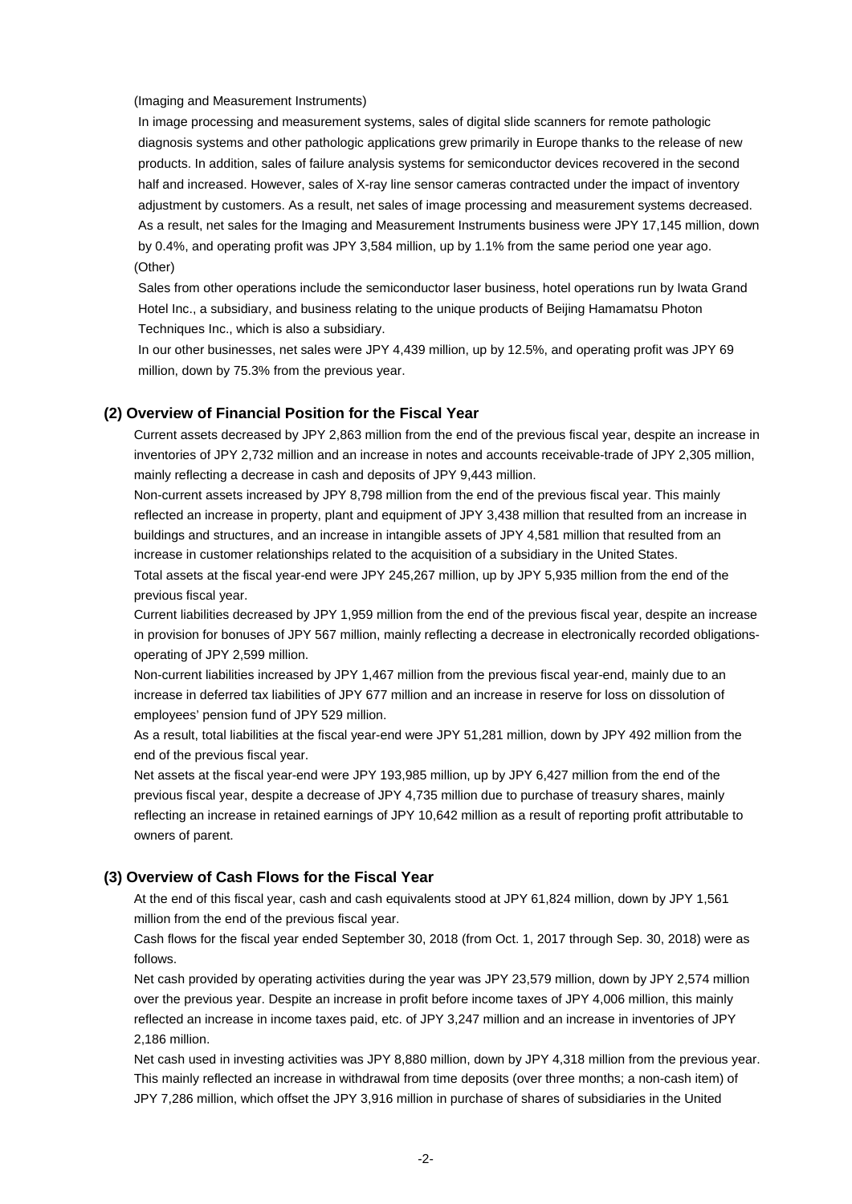#### (Imaging and Measurement Instruments)

In image processing and measurement systems, sales of digital slide scanners for remote pathologic diagnosis systems and other pathologic applications grew primarily in Europe thanks to the release of new products. In addition, sales of failure analysis systems for semiconductor devices recovered in the second half and increased. However, sales of X-ray line sensor cameras contracted under the impact of inventory adjustment by customers. As a result, net sales of image processing and measurement systems decreased. As a result, net sales for the Imaging and Measurement Instruments business were JPY 17,145 million, down by 0.4%, and operating profit was JPY 3,584 million, up by 1.1% from the same period one year ago. (Other)

Sales from other operations include the semiconductor laser business, hotel operations run by Iwata Grand Hotel Inc., a subsidiary, and business relating to the unique products of Beijing Hamamatsu Photon Techniques Inc., which is also a subsidiary.

In our other businesses, net sales were JPY 4,439 million, up by 12.5%, and operating profit was JPY 69 million, down by 75.3% from the previous year.

#### **(2) Overview of Financial Position for the Fiscal Year**

Current assets decreased by JPY 2,863 million from the end of the previous fiscal year, despite an increase in inventories of JPY 2,732 million and an increase in notes and accounts receivable-trade of JPY 2,305 million, mainly reflecting a decrease in cash and deposits of JPY 9,443 million.

Non-current assets increased by JPY 8,798 million from the end of the previous fiscal year. This mainly reflected an increase in property, plant and equipment of JPY 3,438 million that resulted from an increase in buildings and structures, and an increase in intangible assets of JPY 4,581 million that resulted from an increase in customer relationships related to the acquisition of a subsidiary in the United States. Total assets at the fiscal year-end were JPY 245,267 million, up by JPY 5,935 million from the end of the previous fiscal year.

Current liabilities decreased by JPY 1,959 million from the end of the previous fiscal year, despite an increase in provision for bonuses of JPY 567 million, mainly reflecting a decrease in electronically recorded obligationsoperating of JPY 2,599 million.

Non-current liabilities increased by JPY 1,467 million from the previous fiscal year-end, mainly due to an increase in deferred tax liabilities of JPY 677 million and an increase in reserve for loss on dissolution of employees' pension fund of JPY 529 million.

As a result, total liabilities at the fiscal year-end were JPY 51,281 million, down by JPY 492 million from the end of the previous fiscal year.

Net assets at the fiscal year-end were JPY 193,985 million, up by JPY 6,427 million from the end of the previous fiscal year, despite a decrease of JPY 4,735 million due to purchase of treasury shares, mainly reflecting an increase in retained earnings of JPY 10,642 million as a result of reporting profit attributable to owners of parent.

#### **(3) Overview of Cash Flows for the Fiscal Year**

At the end of this fiscal year, cash and cash equivalents stood at JPY 61,824 million, down by JPY 1,561 million from the end of the previous fiscal year.

Cash flows for the fiscal year ended September 30, 2018 (from Oct. 1, 2017 through Sep. 30, 2018) were as follows.

Net cash provided by operating activities during the year was JPY 23,579 million, down by JPY 2,574 million over the previous year. Despite an increase in profit before income taxes of JPY 4,006 million, this mainly reflected an increase in income taxes paid, etc. of JPY 3,247 million and an increase in inventories of JPY 2,186 million.

Net cash used in investing activities was JPY 8,880 million, down by JPY 4,318 million from the previous year. This mainly reflected an increase in withdrawal from time deposits (over three months; a non-cash item) of JPY 7,286 million, which offset the JPY 3,916 million in purchase of shares of subsidiaries in the United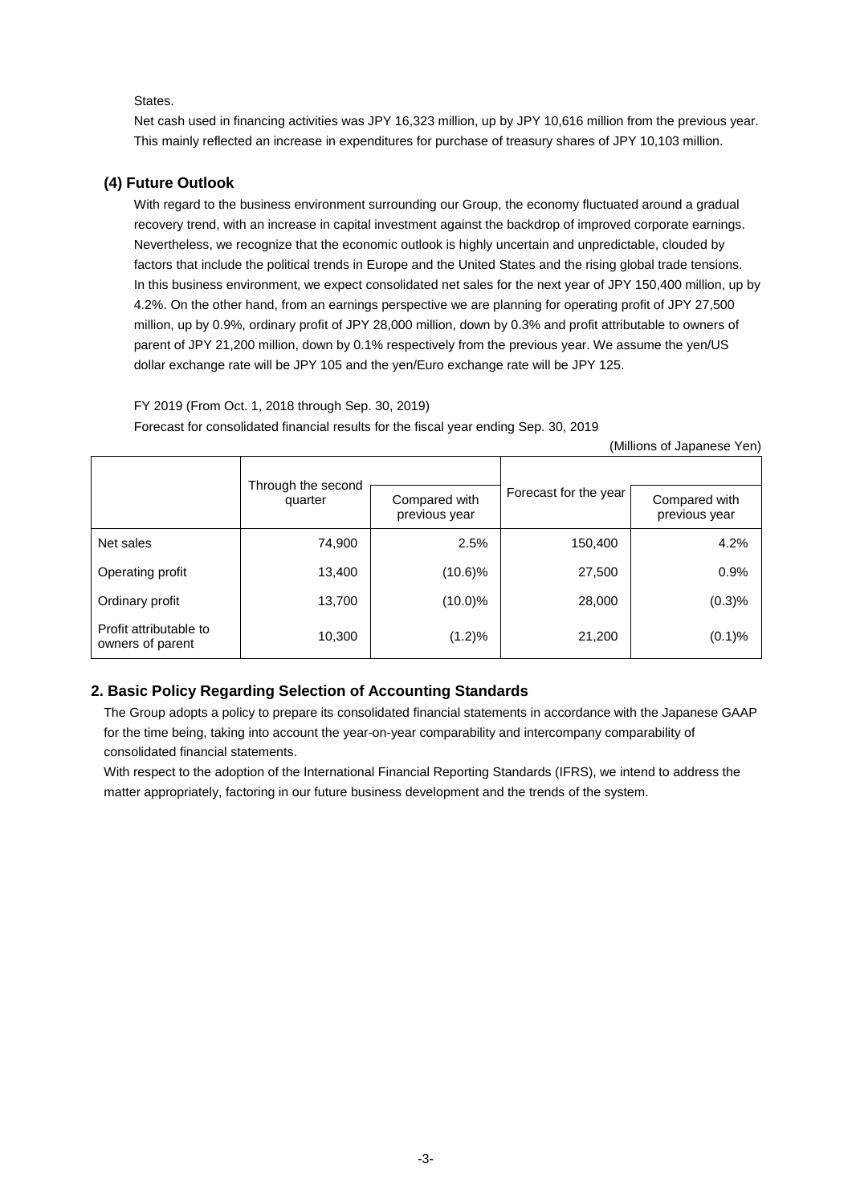#### States.

Net cash used in financing activities was JPY 16,323 million, up by JPY 10,616 million from the previous year. This mainly reflected an increase in expenditures for purchase of treasury shares of JPY 10,103 million.

#### **(4) Future Outlook**

With regard to the business environment surrounding our Group, the economy fluctuated around a gradual recovery trend, with an increase in capital investment against the backdrop of improved corporate earnings. Nevertheless, we recognize that the economic outlook is highly uncertain and unpredictable, clouded by factors that include the political trends in Europe and the United States and the rising global trade tensions. In this business environment, we expect consolidated net sales for the next year of JPY 150,400 million, up by 4.2%. On the other hand, from an earnings perspective we are planning for operating profit of JPY 27,500 million, up by 0.9%, ordinary profit of JPY 28,000 million, down by 0.3% and profit attributable to owners of parent of JPY 21,200 million, down by 0.1% respectively from the previous year. We assume the yen/US dollar exchange rate will be JPY 105 and the yen/Euro exchange rate will be JPY 125.

FY 2019 (From Oct. 1, 2018 through Sep. 30, 2019)

Forecast for consolidated financial results for the fiscal year ending Sep. 30, 2019

| (Millions of Japanese Yen) |  |  |
|----------------------------|--|--|
|----------------------------|--|--|

|                                            | Through the second |                                |                       |                                |
|--------------------------------------------|--------------------|--------------------------------|-----------------------|--------------------------------|
|                                            | quarter            | Compared with<br>previous year | Forecast for the year | Compared with<br>previous year |
| Net sales                                  | 74,900             | 2.5%                           | 150,400               | 4.2%                           |
| Operating profit                           | 13,400             | $(10.6)\%$                     | 27,500                | 0.9%                           |
| Ordinary profit                            | 13,700             | $(10.0)\%$                     | 28,000                | (0.3)%                         |
| Profit attributable to<br>owners of parent | 10,300             | $(1.2)\%$                      | 21,200                | (0.1)%                         |

#### **2. Basic Policy Regarding Selection of Accounting Standards**

The Group adopts a policy to prepare its consolidated financial statements in accordance with the Japanese GAAP for the time being, taking into account the year-on-year comparability and intercompany comparability of consolidated financial statements.

With respect to the adoption of the International Financial Reporting Standards (IFRS), we intend to address the matter appropriately, factoring in our future business development and the trends of the system.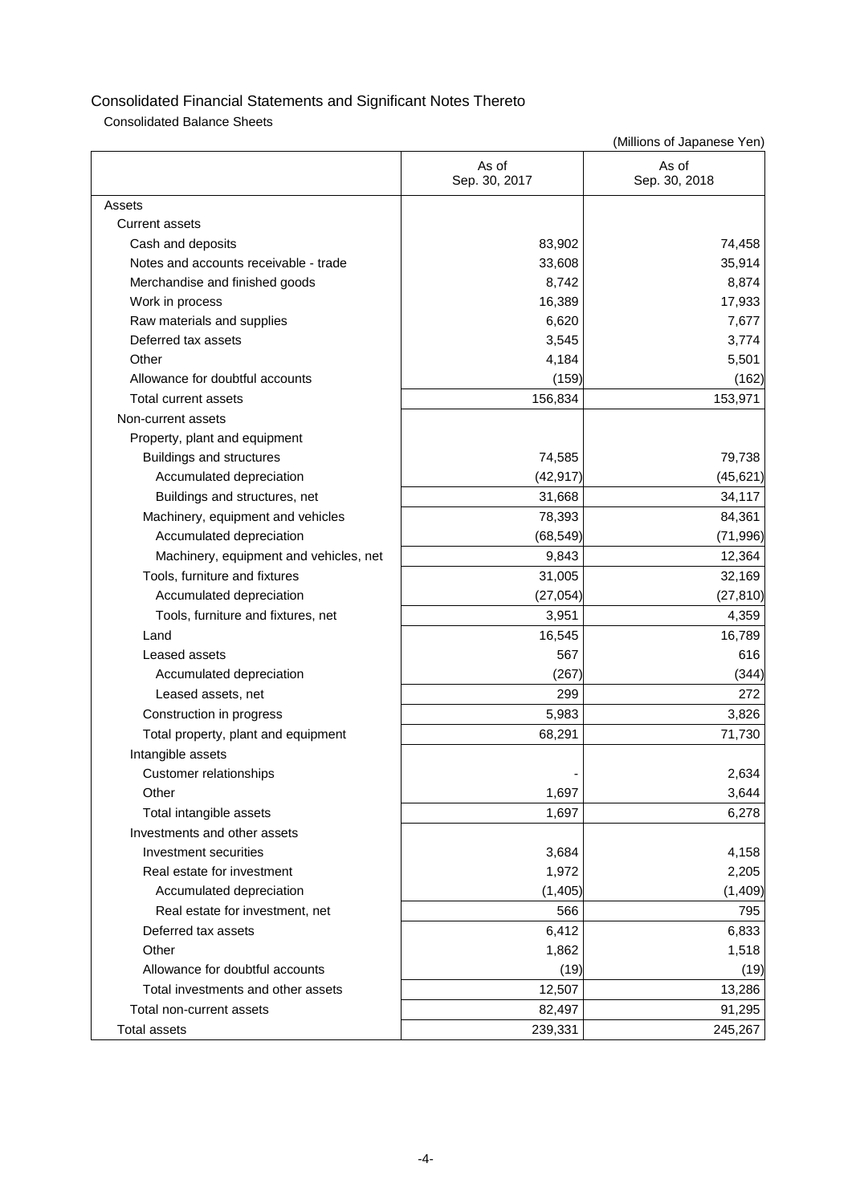Consolidated Balance Sheets

|                                        | As of<br>Sep. 30, 2017 | As of<br>Sep. 30, 2018 |
|----------------------------------------|------------------------|------------------------|
| Assets                                 |                        |                        |
| <b>Current assets</b>                  |                        |                        |
| Cash and deposits                      | 83,902                 | 74,458                 |
| Notes and accounts receivable - trade  | 33,608                 | 35,914                 |
| Merchandise and finished goods         | 8,742                  | 8,874                  |
| Work in process                        | 16,389                 | 17,933                 |
| Raw materials and supplies             | 6,620                  | 7,677                  |
| Deferred tax assets                    | 3,545                  | 3,774                  |
| Other                                  | 4,184                  | 5,501                  |
| Allowance for doubtful accounts        | (159)                  | (162)                  |
| Total current assets                   | 156,834                | 153,971                |
| Non-current assets                     |                        |                        |
| Property, plant and equipment          |                        |                        |
| Buildings and structures               | 74,585                 | 79,738                 |
| Accumulated depreciation               | (42, 917)              | (45, 621)              |
| Buildings and structures, net          | 31,668                 | 34,117                 |
| Machinery, equipment and vehicles      | 78,393                 | 84,361                 |
| Accumulated depreciation               | (68, 549)              | (71, 996)              |
| Machinery, equipment and vehicles, net | 9,843                  | 12,364                 |
| Tools, furniture and fixtures          | 31,005                 | 32,169                 |
| Accumulated depreciation               | (27, 054)              | (27, 810)              |
| Tools, furniture and fixtures, net     | 3,951                  | 4,359                  |
| Land                                   | 16,545                 | 16,789                 |
| Leased assets                          | 567                    | 616                    |
| Accumulated depreciation               | (267)                  | (344)                  |
| Leased assets, net                     | 299                    | 272                    |
| Construction in progress               | 5,983                  | 3,826                  |
| Total property, plant and equipment    | 68,291                 | 71,730                 |
| Intangible assets                      |                        |                        |
| Customer relationships                 |                        | 2,634                  |
| Other                                  | 1,697                  | 3,644                  |
| Total intangible assets                | 1,697                  | 6,278                  |
| Investments and other assets           |                        |                        |
| Investment securities                  | 3,684                  | 4,158                  |
| Real estate for investment             | 1,972                  | 2,205                  |
| Accumulated depreciation               | (1, 405)               | (1, 409)               |
| Real estate for investment, net        | 566                    | 795                    |
| Deferred tax assets                    | 6,412                  | 6,833                  |
| Other                                  | 1,862                  | 1,518                  |
| Allowance for doubtful accounts        | (19)                   | (19)                   |
| Total investments and other assets     | 12,507                 | 13,286                 |
| Total non-current assets               | 82,497                 | 91,295                 |
| <b>Total assets</b>                    | 239,331                | 245,267                |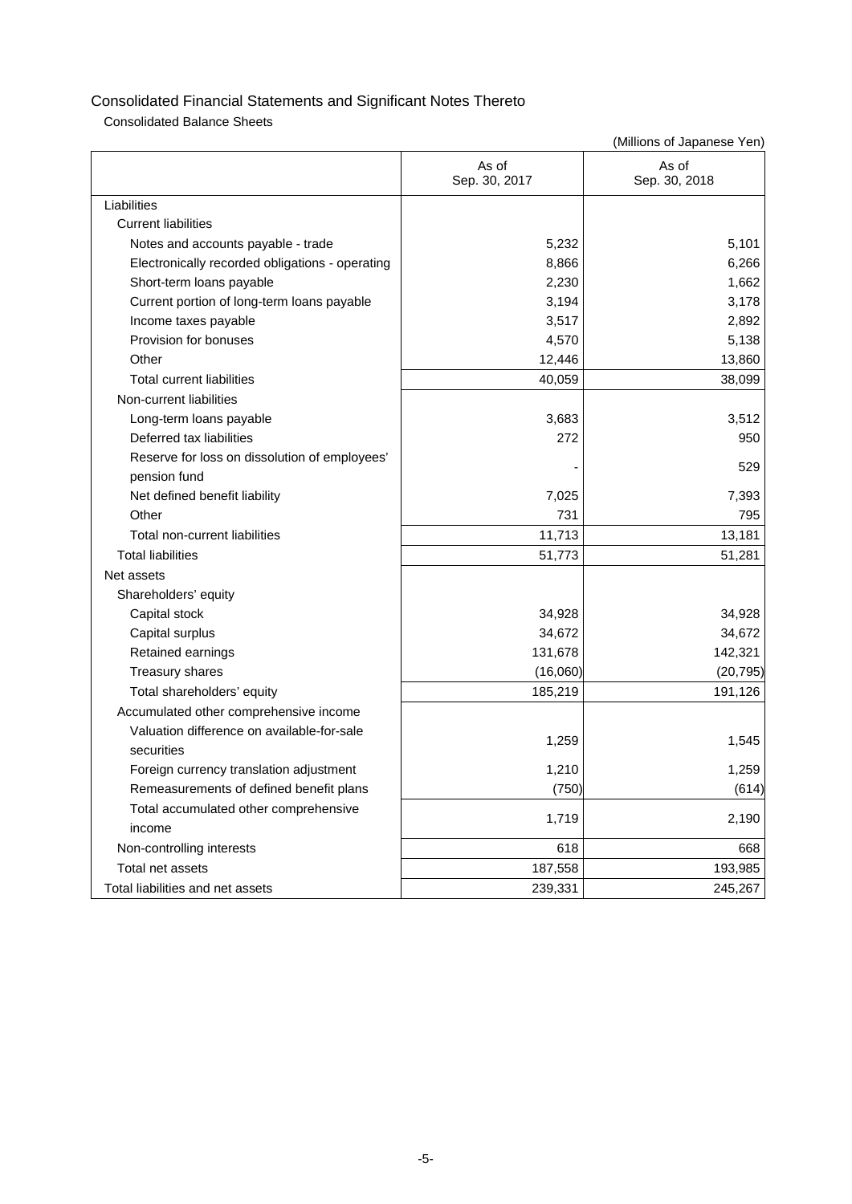Consolidated Balance Sheets

|                                                 | As of<br>Sep. 30, 2017 | As of<br>Sep. 30, 2018 |
|-------------------------------------------------|------------------------|------------------------|
| Liabilities                                     |                        |                        |
| <b>Current liabilities</b>                      |                        |                        |
| Notes and accounts payable - trade              | 5,232                  | 5,101                  |
| Electronically recorded obligations - operating | 8,866                  | 6,266                  |
| Short-term loans payable                        | 2,230                  | 1,662                  |
| Current portion of long-term loans payable      | 3,194                  | 3,178                  |
| Income taxes payable                            | 3,517                  | 2,892                  |
| Provision for bonuses                           | 4,570                  | 5,138                  |
| Other                                           | 12,446                 | 13,860                 |
| <b>Total current liabilities</b>                | 40,059                 | 38,099                 |
| Non-current liabilities                         |                        |                        |
| Long-term loans payable                         | 3,683                  | 3,512                  |
| Deferred tax liabilities                        | 272                    | 950                    |
| Reserve for loss on dissolution of employees'   |                        | 529                    |
| pension fund                                    |                        |                        |
| Net defined benefit liability                   | 7,025                  | 7,393                  |
| Other                                           | 731                    | 795                    |
| Total non-current liabilities                   | 11,713                 | 13,181                 |
| <b>Total liabilities</b>                        | 51,773                 | 51,281                 |
| Net assets                                      |                        |                        |
| Shareholders' equity                            |                        |                        |
| Capital stock                                   | 34,928                 | 34,928                 |
| Capital surplus                                 | 34,672                 | 34,672                 |
| Retained earnings                               | 131,678                | 142,321                |
| Treasury shares                                 | (16,060)               | (20, 795)              |
| Total shareholders' equity                      | 185,219                | 191,126                |
| Accumulated other comprehensive income          |                        |                        |
| Valuation difference on available-for-sale      |                        |                        |
| securities                                      | 1,259                  | 1,545                  |
| Foreign currency translation adjustment         | 1,210                  | 1,259                  |
| Remeasurements of defined benefit plans         | (750)                  | (614)                  |
| Total accumulated other comprehensive           | 1,719                  | 2,190                  |
| income                                          |                        |                        |
| Non-controlling interests                       | 618                    | 668                    |
| Total net assets                                | 187,558                | 193,985                |
| Total liabilities and net assets                | 239,331                | 245,267                |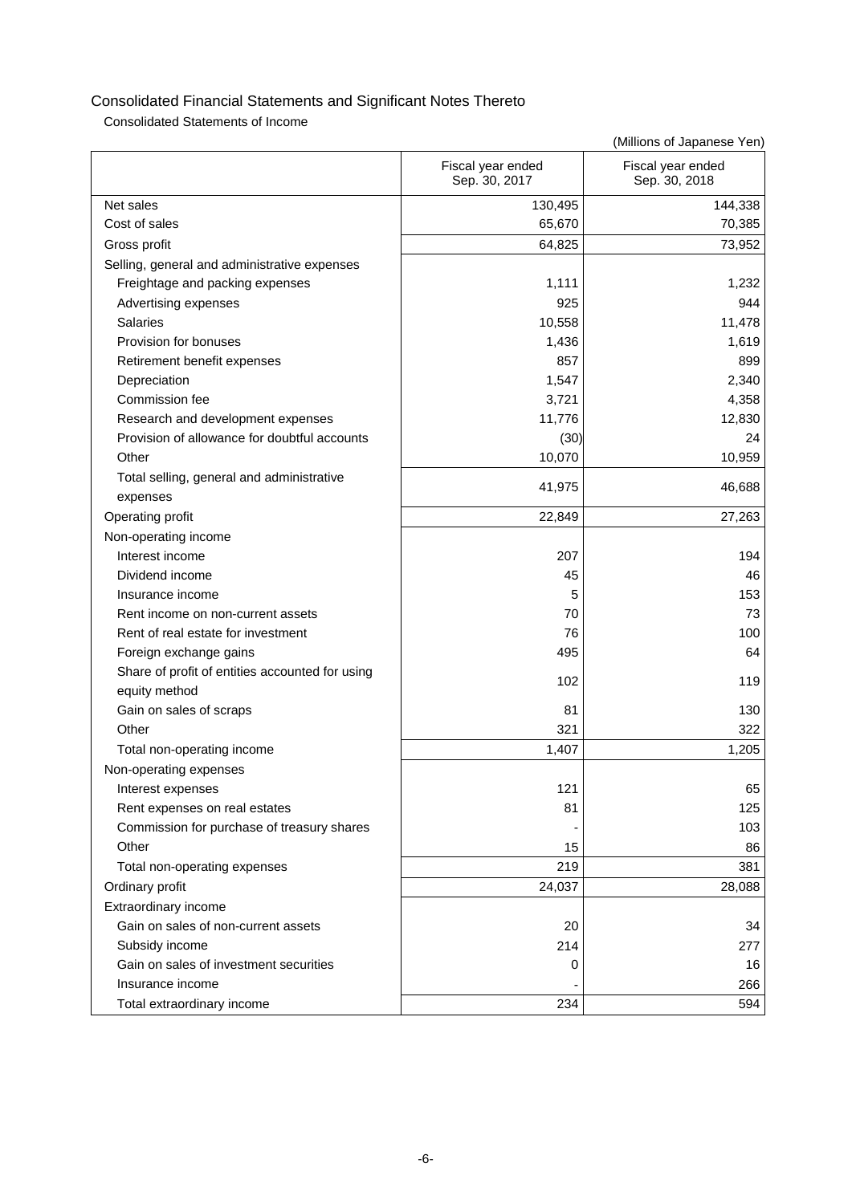Consolidated Statements of Income

|                                                 | Fiscal year ended<br>Sep. 30, 2017 | Fiscal year ended<br>Sep. 30, 2018 |
|-------------------------------------------------|------------------------------------|------------------------------------|
| Net sales                                       | 130,495                            | 144,338                            |
| Cost of sales                                   | 65,670                             | 70,385                             |
| Gross profit                                    | 64,825                             | 73,952                             |
| Selling, general and administrative expenses    |                                    |                                    |
| Freightage and packing expenses                 | 1,111                              | 1,232                              |
| Advertising expenses                            | 925                                | 944                                |
| <b>Salaries</b>                                 | 10,558                             | 11,478                             |
| Provision for bonuses                           | 1,436                              | 1,619                              |
| Retirement benefit expenses                     | 857                                | 899                                |
| Depreciation                                    | 1,547                              | 2,340                              |
| Commission fee                                  | 3,721                              | 4,358                              |
| Research and development expenses               | 11,776                             | 12,830                             |
| Provision of allowance for doubtful accounts    | (30)                               | 24                                 |
| Other                                           | 10,070                             | 10,959                             |
| Total selling, general and administrative       |                                    |                                    |
| expenses                                        | 41,975                             | 46,688                             |
| Operating profit                                | 22,849                             | 27,263                             |
| Non-operating income                            |                                    |                                    |
| Interest income                                 | 207                                | 194                                |
| Dividend income                                 | 45                                 | 46                                 |
| Insurance income                                | 5                                  | 153                                |
| Rent income on non-current assets               | 70                                 | 73                                 |
| Rent of real estate for investment              | 76                                 | 100                                |
| Foreign exchange gains                          | 495                                | 64                                 |
| Share of profit of entities accounted for using | 102                                | 119                                |
| equity method                                   |                                    |                                    |
| Gain on sales of scraps                         | 81                                 | 130                                |
| Other                                           | 321                                | 322                                |
| Total non-operating income                      | 1,407                              | 1,205                              |
| Non-operating expenses                          |                                    |                                    |
| Interest expenses                               | 121                                | 65                                 |
| Rent expenses on real estates                   | 81                                 | 125                                |
| Commission for purchase of treasury shares      |                                    | 103                                |
| Other                                           | 15                                 | 86                                 |
| Total non-operating expenses                    | 219                                | 381                                |
| Ordinary profit                                 | 24,037                             | 28,088                             |
| Extraordinary income                            |                                    |                                    |
| Gain on sales of non-current assets             | 20                                 | 34                                 |
| Subsidy income                                  | 214                                | 277                                |
| Gain on sales of investment securities          | 0                                  | 16                                 |
| Insurance income                                |                                    | 266                                |
| Total extraordinary income                      | 234                                | 594                                |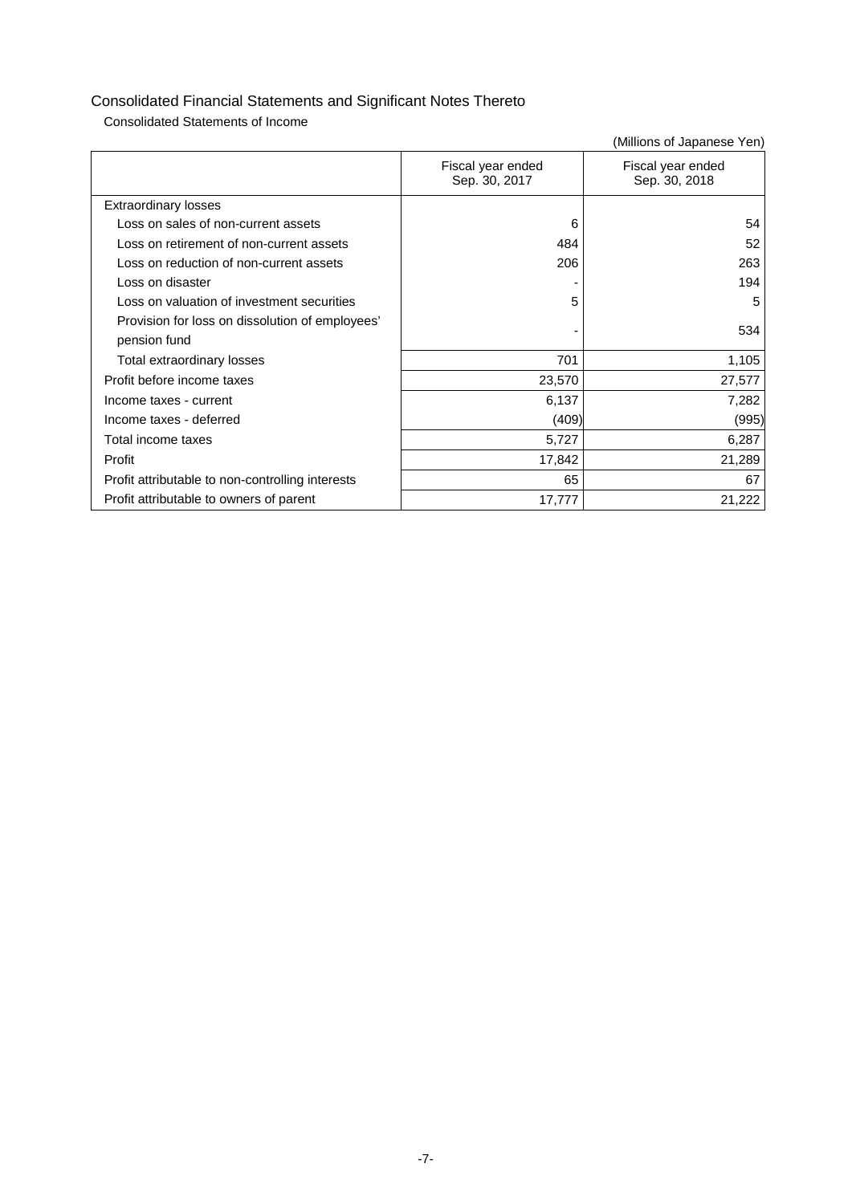Consolidated Statements of Income

|                                                  | Fiscal year ended<br>Sep. 30, 2017 | Fiscal year ended<br>Sep. 30, 2018 |
|--------------------------------------------------|------------------------------------|------------------------------------|
| <b>Extraordinary losses</b>                      |                                    |                                    |
| Loss on sales of non-current assets              | 6                                  | 54                                 |
| Loss on retirement of non-current assets         | 484                                | 52                                 |
| Loss on reduction of non-current assets          | 206                                | 263                                |
| Loss on disaster                                 |                                    | 194                                |
| Loss on valuation of investment securities       | 5                                  | 5                                  |
| Provision for loss on dissolution of employees'  |                                    | 534                                |
| pension fund                                     |                                    |                                    |
| Total extraordinary losses                       | 701                                | 1,105                              |
| Profit before income taxes                       | 23,570                             | 27,577                             |
| Income taxes - current                           | 6,137                              | 7,282                              |
| Income taxes - deferred                          | (409)                              | (995)                              |
| Total income taxes                               | 5,727                              | 6,287                              |
| Profit                                           | 17,842                             | 21,289                             |
| Profit attributable to non-controlling interests | 65                                 | 67                                 |
| Profit attributable to owners of parent          | 17,777                             | 21,222                             |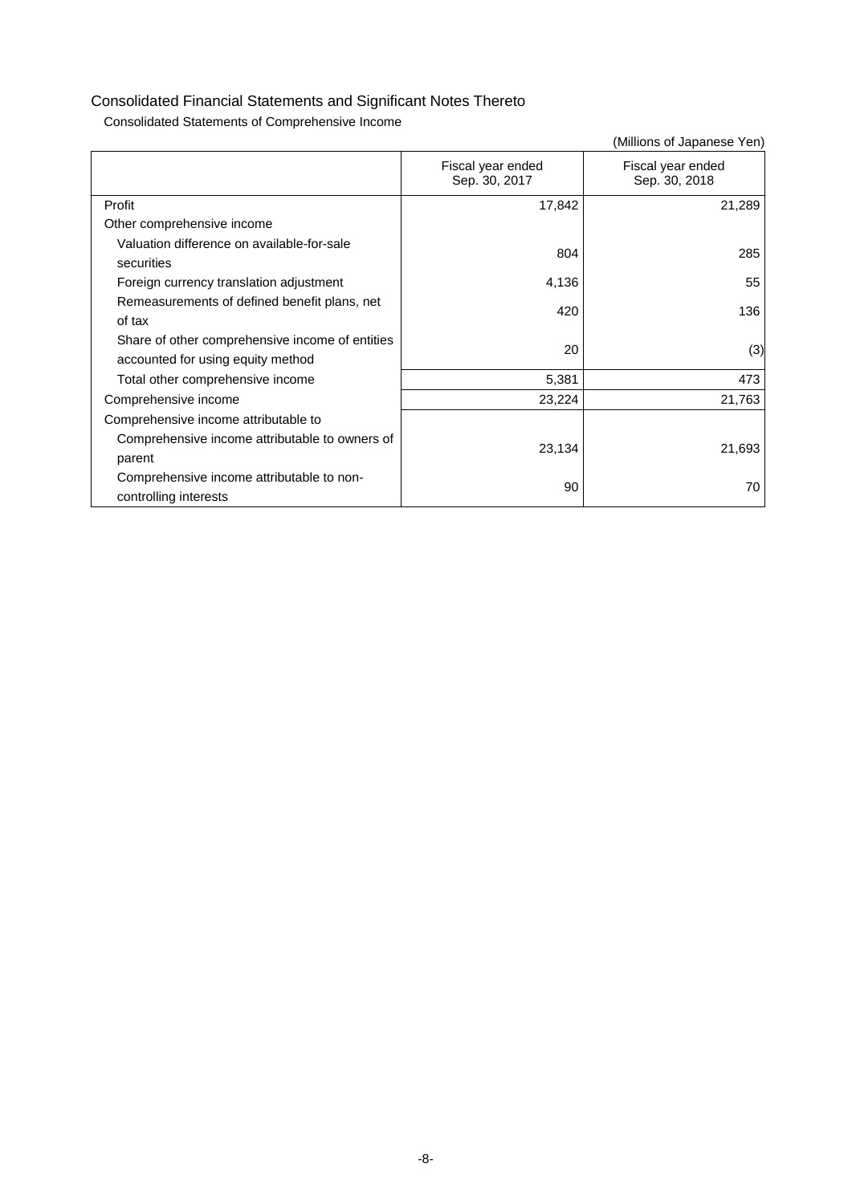Consolidated Statements of Comprehensive Income

|                                                                                      |                                    | (Millions of Japanese Yen)         |
|--------------------------------------------------------------------------------------|------------------------------------|------------------------------------|
|                                                                                      | Fiscal year ended<br>Sep. 30, 2017 | Fiscal year ended<br>Sep. 30, 2018 |
| Profit                                                                               | 17,842                             | 21,289                             |
| Other comprehensive income                                                           |                                    |                                    |
| Valuation difference on available-for-sale<br>securities                             | 804                                | 285                                |
| Foreign currency translation adjustment                                              | 4,136                              | 55                                 |
| Remeasurements of defined benefit plans, net<br>of tax                               | 420                                | 136                                |
| Share of other comprehensive income of entities<br>accounted for using equity method | 20                                 | (3)                                |
| Total other comprehensive income                                                     | 5,381                              | 473                                |
| Comprehensive income                                                                 | 23,224                             | 21,763                             |
| Comprehensive income attributable to                                                 |                                    |                                    |
| Comprehensive income attributable to owners of<br>parent                             | 23,134                             | 21,693                             |
| Comprehensive income attributable to non-<br>controlling interests                   | 90                                 | 70                                 |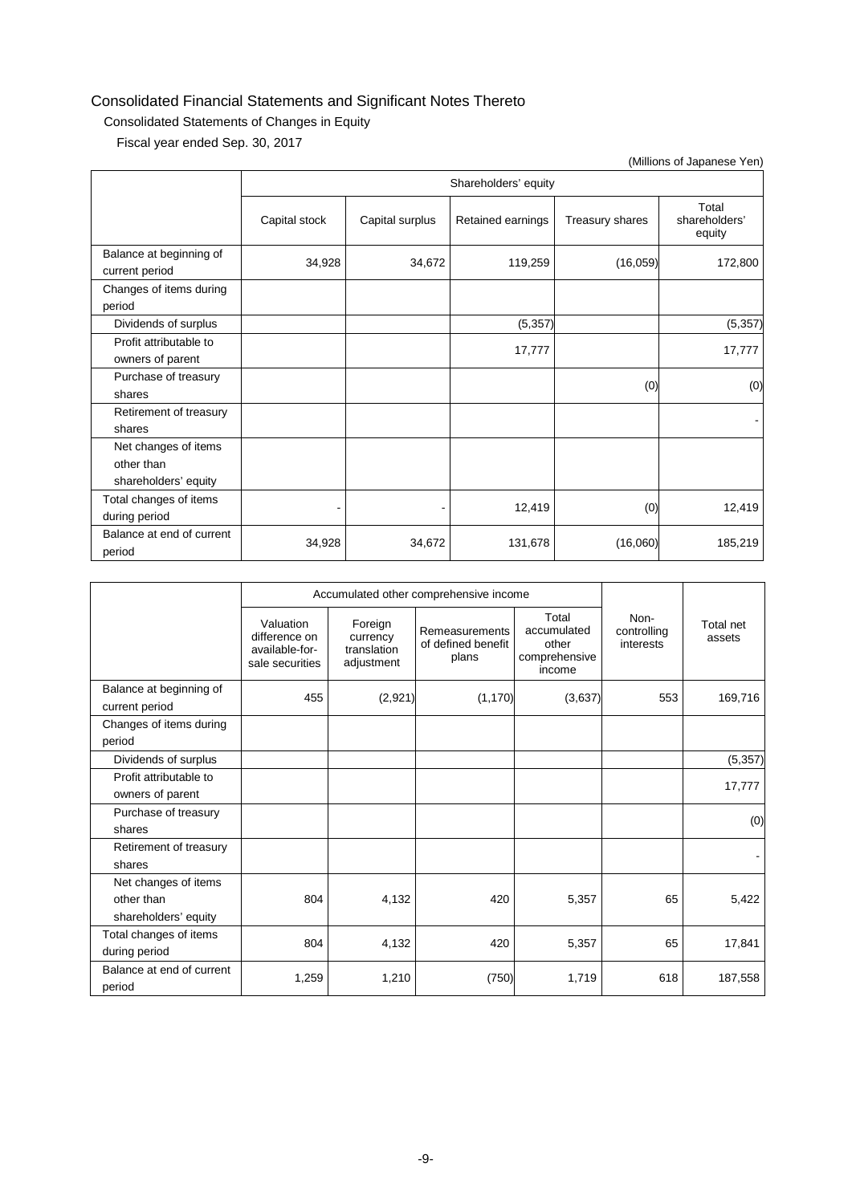## Consolidated Statements of Changes in Equity

Fiscal year ended Sep. 30, 2017

|                                                            |               |                      |                   |                 | (Millions of Japanese Yen)       |  |  |  |
|------------------------------------------------------------|---------------|----------------------|-------------------|-----------------|----------------------------------|--|--|--|
|                                                            |               | Shareholders' equity |                   |                 |                                  |  |  |  |
|                                                            | Capital stock | Capital surplus      | Retained earnings | Treasury shares | Total<br>shareholders'<br>equity |  |  |  |
| Balance at beginning of<br>current period                  | 34,928        | 34,672               | 119,259           | (16,059)        | 172,800                          |  |  |  |
| Changes of items during<br>period                          |               |                      |                   |                 |                                  |  |  |  |
| Dividends of surplus                                       |               |                      | (5, 357)          |                 | (5, 357)                         |  |  |  |
| Profit attributable to<br>owners of parent                 |               |                      | 17,777            |                 | 17,777                           |  |  |  |
| Purchase of treasury<br>shares                             |               |                      |                   | (0)             | (0)                              |  |  |  |
| Retirement of treasury<br>shares                           |               |                      |                   |                 |                                  |  |  |  |
| Net changes of items<br>other than<br>shareholders' equity |               |                      |                   |                 |                                  |  |  |  |
| Total changes of items<br>during period                    |               |                      | 12,419            | (0)             | 12,419                           |  |  |  |
| Balance at end of current<br>period                        | 34,928        | 34,672               | 131,678           | (16,060)        | 185,219                          |  |  |  |

|                                                            |                                                                 | Accumulated other comprehensive income           |                                                      |                                                          |                                  |                            |
|------------------------------------------------------------|-----------------------------------------------------------------|--------------------------------------------------|------------------------------------------------------|----------------------------------------------------------|----------------------------------|----------------------------|
|                                                            | Valuation<br>difference on<br>available-for-<br>sale securities | Foreign<br>currency<br>translation<br>adjustment | <b>Remeasurements</b><br>of defined benefit<br>plans | Total<br>accumulated<br>other<br>comprehensive<br>income | Non-<br>controlling<br>interests | <b>Total net</b><br>assets |
| Balance at beginning of<br>current period                  | 455                                                             | (2,921)                                          | (1, 170)                                             | (3,637)                                                  | 553                              | 169,716                    |
| Changes of items during<br>period                          |                                                                 |                                                  |                                                      |                                                          |                                  |                            |
| Dividends of surplus                                       |                                                                 |                                                  |                                                      |                                                          |                                  | (5, 357)                   |
| Profit attributable to<br>owners of parent                 |                                                                 |                                                  |                                                      |                                                          |                                  | 17,777                     |
| Purchase of treasury<br>shares                             |                                                                 |                                                  |                                                      |                                                          |                                  | (0)                        |
| Retirement of treasury<br>shares                           |                                                                 |                                                  |                                                      |                                                          |                                  |                            |
| Net changes of items<br>other than<br>shareholders' equity | 804                                                             | 4,132                                            | 420                                                  | 5,357                                                    | 65                               | 5,422                      |
| Total changes of items<br>during period                    | 804                                                             | 4,132                                            | 420                                                  | 5,357                                                    | 65                               | 17,841                     |
| Balance at end of current<br>period                        | 1,259                                                           | 1,210                                            | (750)                                                | 1,719                                                    | 618                              | 187,558                    |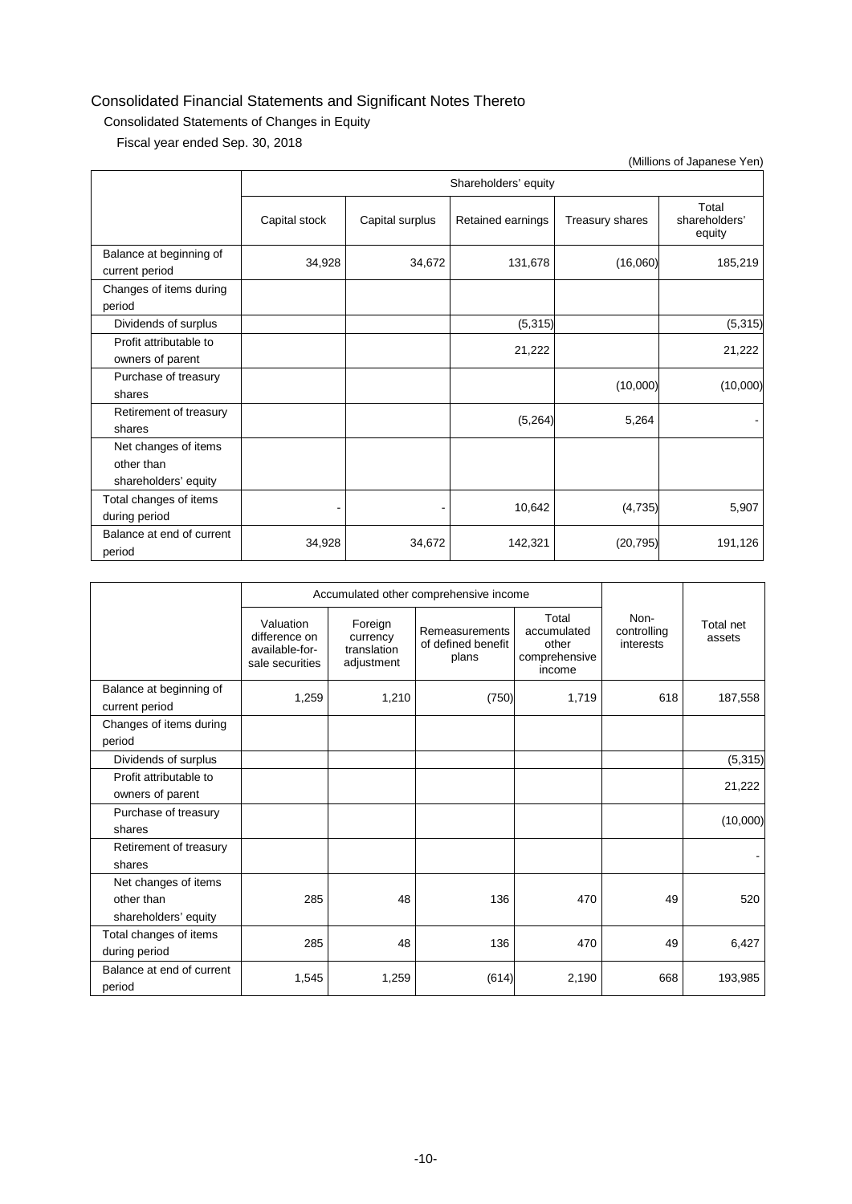### Consolidated Statements of Changes in Equity

Fiscal year ended Sep. 30, 2018

|                                                            |               |                 |                      |                 | (Millions of Japanese Yen)       |
|------------------------------------------------------------|---------------|-----------------|----------------------|-----------------|----------------------------------|
|                                                            |               |                 | Shareholders' equity |                 |                                  |
|                                                            | Capital stock | Capital surplus | Retained earnings    | Treasury shares | Total<br>shareholders'<br>equity |
| Balance at beginning of<br>current period                  | 34,928        | 34,672          | 131,678              | (16,060)        | 185,219                          |
| Changes of items during<br>period                          |               |                 |                      |                 |                                  |
| Dividends of surplus                                       |               |                 | (5, 315)             |                 | (5, 315)                         |
| Profit attributable to<br>owners of parent                 |               |                 | 21,222               |                 | 21,222                           |
| Purchase of treasury<br>shares                             |               |                 |                      | (10,000)        | (10,000)                         |
| Retirement of treasury<br>shares                           |               |                 | (5,264)              | 5,264           |                                  |
| Net changes of items<br>other than<br>shareholders' equity |               |                 |                      |                 |                                  |
| Total changes of items<br>during period                    |               |                 | 10,642               | (4,735)         | 5,907                            |
| Balance at end of current<br>period                        | 34,928        | 34,672          | 142,321              | (20, 795)       | 191,126                          |

|                                                            |                                                                 | Accumulated other comprehensive income           |                                               |                                                          |                                  |                     |
|------------------------------------------------------------|-----------------------------------------------------------------|--------------------------------------------------|-----------------------------------------------|----------------------------------------------------------|----------------------------------|---------------------|
|                                                            | Valuation<br>difference on<br>available-for-<br>sale securities | Foreign<br>currency<br>translation<br>adjustment | Remeasurements<br>of defined benefit<br>plans | Total<br>accumulated<br>other<br>comprehensive<br>income | Non-<br>controlling<br>interests | Total net<br>assets |
| Balance at beginning of<br>current period                  | 1,259                                                           | 1,210                                            | (750)                                         | 1,719                                                    | 618                              | 187,558             |
| Changes of items during<br>period                          |                                                                 |                                                  |                                               |                                                          |                                  |                     |
| Dividends of surplus                                       |                                                                 |                                                  |                                               |                                                          |                                  | (5, 315)            |
| Profit attributable to<br>owners of parent                 |                                                                 |                                                  |                                               |                                                          |                                  | 21,222              |
| Purchase of treasury<br>shares                             |                                                                 |                                                  |                                               |                                                          |                                  | (10,000)            |
| Retirement of treasury<br>shares                           |                                                                 |                                                  |                                               |                                                          |                                  |                     |
| Net changes of items<br>other than<br>shareholders' equity | 285                                                             | 48                                               | 136                                           | 470                                                      | 49                               | 520                 |
| Total changes of items<br>during period                    | 285                                                             | 48                                               | 136                                           | 470                                                      | 49                               | 6,427               |
| Balance at end of current<br>period                        | 1,545                                                           | 1,259                                            | (614)                                         | 2,190                                                    | 668                              | 193,985             |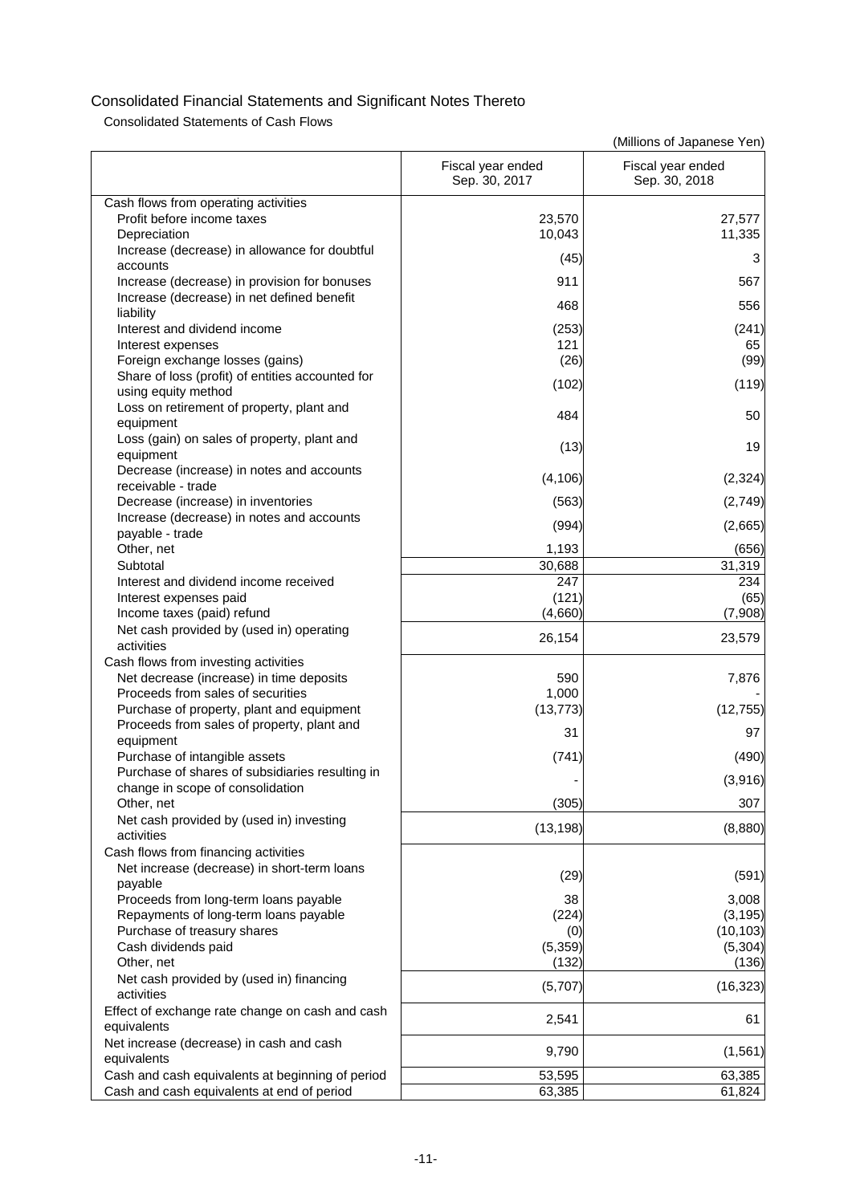Consolidated Statements of Cash Flows

|                                                  | Fiscal year ended<br>Sep. 30, 2017 | Fiscal year ended<br>Sep. 30, 2018 |
|--------------------------------------------------|------------------------------------|------------------------------------|
| Cash flows from operating activities             |                                    |                                    |
| Profit before income taxes                       | 23,570                             | 27,577                             |
| Depreciation                                     | 10,043                             | 11,335                             |
| Increase (decrease) in allowance for doubtful    | (45)                               | 3                                  |
| accounts                                         |                                    |                                    |
| Increase (decrease) in provision for bonuses     | 911                                | 567                                |
| Increase (decrease) in net defined benefit       | 468                                | 556                                |
| liability                                        |                                    |                                    |
| Interest and dividend income                     | (253)                              | (241)                              |
| Interest expenses                                | 121                                | 65                                 |
| Foreign exchange losses (gains)                  | (26)                               | (99)                               |
| Share of loss (profit) of entities accounted for | (102)                              | (119)                              |
| using equity method                              |                                    |                                    |
| Loss on retirement of property, plant and        | 484                                | 50                                 |
| equipment                                        |                                    |                                    |
| Loss (gain) on sales of property, plant and      | (13)                               | 19                                 |
| equipment                                        |                                    |                                    |
| Decrease (increase) in notes and accounts        | (4, 106)                           | (2, 324)                           |
| receivable - trade                               |                                    |                                    |
| Decrease (increase) in inventories               | (563)                              | (2,749)                            |
| Increase (decrease) in notes and accounts        | (994)                              | (2,665)                            |
| payable - trade                                  |                                    |                                    |
| Other, net                                       | 1,193                              | (656)                              |
| Subtotal                                         | 30,688                             | 31,319                             |
| Interest and dividend income received            | 247                                | 234                                |
| Interest expenses paid                           | (121)                              | (65)                               |
| Income taxes (paid) refund                       | (4,660)                            | (7,908)                            |
| Net cash provided by (used in) operating         | 26,154                             | 23,579                             |
| activities                                       |                                    |                                    |
| Cash flows from investing activities             |                                    |                                    |
| Net decrease (increase) in time deposits         | 590                                | 7,876                              |
| Proceeds from sales of securities                | 1,000                              |                                    |
| Purchase of property, plant and equipment        | (13, 773)                          | (12, 755)                          |
| Proceeds from sales of property, plant and       | 31                                 | 97                                 |
| equipment                                        |                                    |                                    |
| Purchase of intangible assets                    | (741)                              | (490)                              |
| Purchase of shares of subsidiaries resulting in  |                                    | (3,916)                            |
| change in scope of consolidation                 |                                    |                                    |
| Other, net                                       | (305)                              | 307                                |
| Net cash provided by (used in) investing         | (13, 198)                          | (8,880)                            |
| activities                                       |                                    |                                    |
| Cash flows from financing activities             |                                    |                                    |
| Net increase (decrease) in short-term loans      | (29)                               | (591)                              |
| payable                                          |                                    |                                    |
| Proceeds from long-term loans payable            | 38                                 | 3,008                              |
| Repayments of long-term loans payable            | (224)                              | (3, 195)                           |
| Purchase of treasury shares                      | (0)                                | (10, 103)                          |
| Cash dividends paid                              | (5, 359)                           | (5, 304)                           |
| Other, net                                       | (132)                              | (136)                              |
| Net cash provided by (used in) financing         | (5,707)                            | (16, 323)                          |
| activities                                       |                                    |                                    |
| Effect of exchange rate change on cash and cash  | 2,541                              | 61                                 |
| equivalents                                      |                                    |                                    |
| Net increase (decrease) in cash and cash         | 9,790                              | (1, 561)                           |
| equivalents                                      |                                    |                                    |
| Cash and cash equivalents at beginning of period | 53,595                             | 63,385                             |
| Cash and cash equivalents at end of period       | 63,385                             | 61,824                             |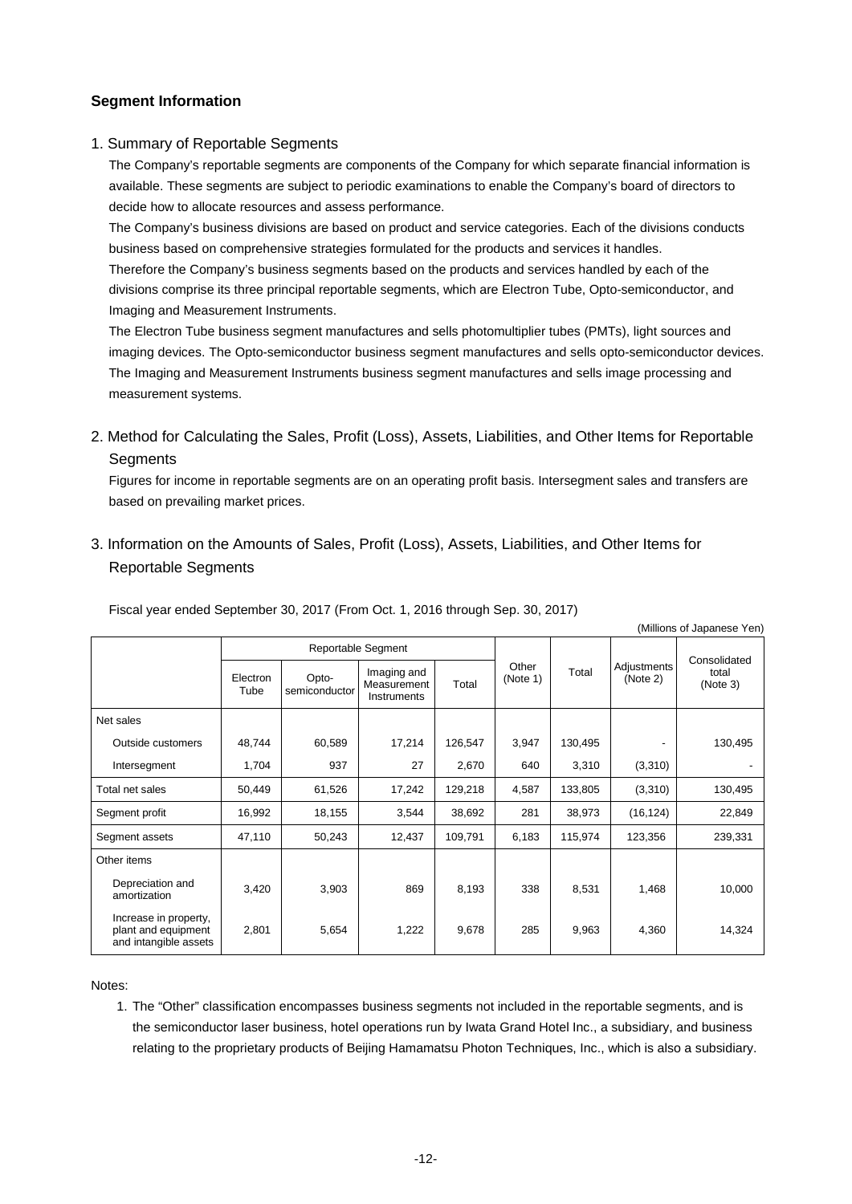## **Segment Information**

#### 1. Summary of Reportable Segments

The Company's reportable segments are components of the Company for which separate financial information is available. These segments are subject to periodic examinations to enable the Company's board of directors to decide how to allocate resources and assess performance.

The Company's business divisions are based on product and service categories. Each of the divisions conducts business based on comprehensive strategies formulated for the products and services it handles. Therefore the Company's business segments based on the products and services handled by each of the divisions comprise its three principal reportable segments, which are Electron Tube, Opto-semiconductor, and Imaging and Measurement Instruments.

The Electron Tube business segment manufactures and sells photomultiplier tubes (PMTs), light sources and imaging devices. The Opto-semiconductor business segment manufactures and sells opto-semiconductor devices. The Imaging and Measurement Instruments business segment manufactures and sells image processing and measurement systems.

## 2. Method for Calculating the Sales, Profit (Loss), Assets, Liabilities, and Other Items for Reportable **Segments**

Figures for income in reportable segments are on an operating profit basis. Intersegment sales and transfers are based on prevailing market prices.

(Millions of Japanese Yen)

3. Information on the Amounts of Sales, Profit (Loss), Assets, Liabilities, and Other Items for Reportable Segments

|                                                                       |                    |                        |                                           |         |                   |         |                         | (Milliulis UI Japanese Terr) |
|-----------------------------------------------------------------------|--------------------|------------------------|-------------------------------------------|---------|-------------------|---------|-------------------------|------------------------------|
|                                                                       | Reportable Segment |                        |                                           |         |                   |         | Consolidated            |                              |
|                                                                       | Electron<br>Tube   | Opto-<br>semiconductor | Imaging and<br>Measurement<br>Instruments | Total   | Other<br>(Note 1) | Total   | Adjustments<br>(Note 2) | total<br>(Note 3)            |
| Net sales                                                             |                    |                        |                                           |         |                   |         |                         |                              |
| Outside customers                                                     | 48,744             | 60,589                 | 17,214                                    | 126,547 | 3,947             | 130,495 |                         | 130,495                      |
| Intersegment                                                          | 1,704              | 937                    | 27                                        | 2,670   | 640               | 3,310   | (3,310)                 |                              |
| Total net sales                                                       | 50,449             | 61,526                 | 17,242                                    | 129,218 | 4,587             | 133,805 | (3,310)                 | 130,495                      |
| Segment profit                                                        | 16,992             | 18,155                 | 3,544                                     | 38,692  | 281               | 38,973  | (16, 124)               | 22,849                       |
| Segment assets                                                        | 47,110             | 50,243                 | 12,437                                    | 109,791 | 6,183             | 115,974 | 123,356                 | 239,331                      |
| Other items                                                           |                    |                        |                                           |         |                   |         |                         |                              |
| Depreciation and<br>amortization                                      | 3,420              | 3,903                  | 869                                       | 8,193   | 338               | 8,531   | 1,468                   | 10,000                       |
| Increase in property,<br>plant and equipment<br>and intangible assets | 2,801              | 5,654                  | 1,222                                     | 9,678   | 285               | 9,963   | 4,360                   | 14,324                       |

Fiscal year ended September 30, 2017 (From Oct. 1, 2016 through Sep. 30, 2017)

Notes:

1. The "Other" classification encompasses business segments not included in the reportable segments, and is the semiconductor laser business, hotel operations run by Iwata Grand Hotel Inc., a subsidiary, and business relating to the proprietary products of Beijing Hamamatsu Photon Techniques, Inc., which is also a subsidiary.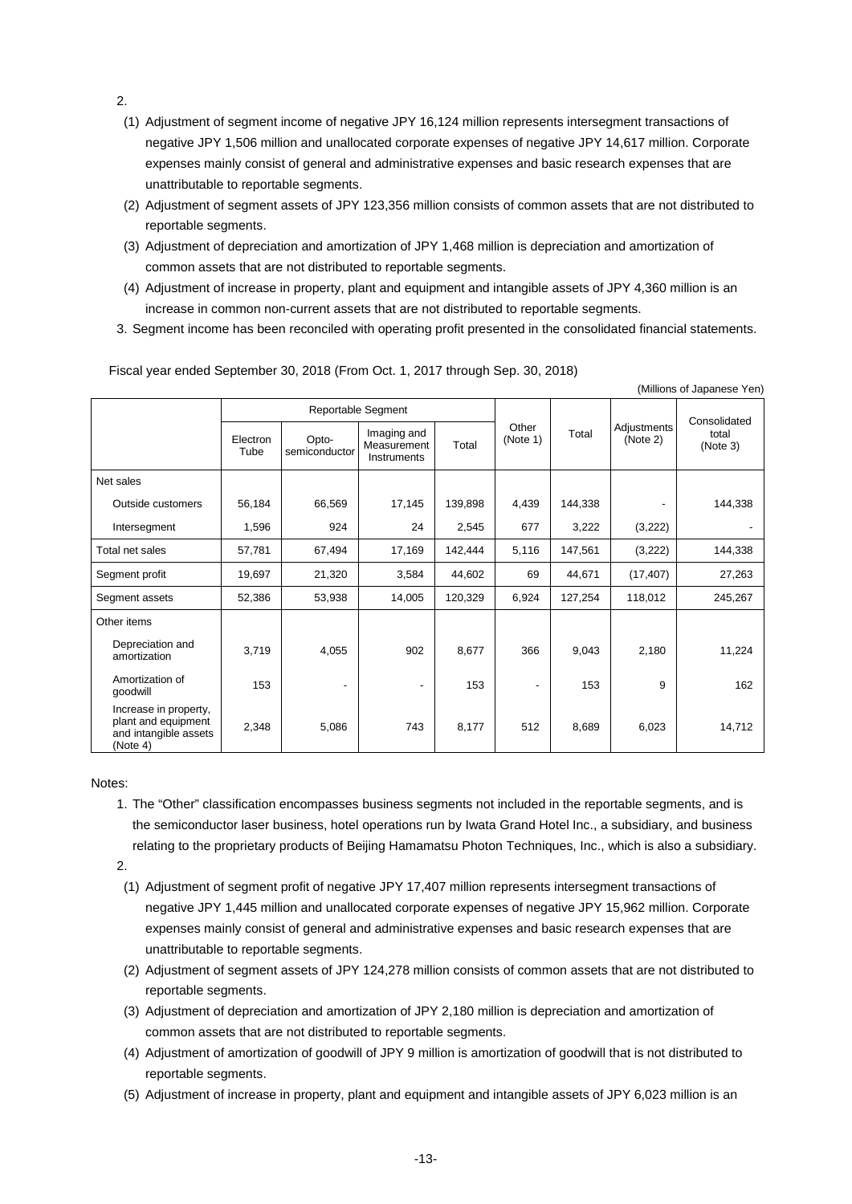2.

- (1) Adjustment of segment income of negative JPY 16,124 million represents intersegment transactions of negative JPY 1,506 million and unallocated corporate expenses of negative JPY 14,617 million. Corporate expenses mainly consist of general and administrative expenses and basic research expenses that are unattributable to reportable segments.
- (2) Adjustment of segment assets of JPY 123,356 million consists of common assets that are not distributed to reportable segments.
- (3) Adjustment of depreciation and amortization of JPY 1,468 million is depreciation and amortization of common assets that are not distributed to reportable segments.
- (4) Adjustment of increase in property, plant and equipment and intangible assets of JPY 4,360 million is an increase in common non-current assets that are not distributed to reportable segments.
- 3. Segment income has been reconciled with operating profit presented in the consolidated financial statements.

Fiscal year ended September 30, 2018 (From Oct. 1, 2017 through Sep. 30, 2018)

|                                                                                   |                    |                        |                                           |         |                   |         |                         | (Millions of Japanese Yen)        |
|-----------------------------------------------------------------------------------|--------------------|------------------------|-------------------------------------------|---------|-------------------|---------|-------------------------|-----------------------------------|
|                                                                                   | Reportable Segment |                        |                                           |         |                   |         |                         |                                   |
|                                                                                   | Electron<br>Tube   | Opto-<br>semiconductor | Imaging and<br>Measurement<br>Instruments | Total   | Other<br>(Note 1) | Total   | Adjustments<br>(Note 2) | Consolidated<br>total<br>(Note 3) |
| Net sales                                                                         |                    |                        |                                           |         |                   |         |                         |                                   |
| Outside customers                                                                 | 56,184             | 66,569                 | 17,145                                    | 139,898 | 4,439             | 144,338 |                         | 144,338                           |
| Intersegment                                                                      | 1,596              | 924                    | 24                                        | 2,545   | 677               | 3,222   | (3,222)                 |                                   |
| Total net sales                                                                   | 57,781             | 67,494                 | 17,169                                    | 142,444 | 5,116             | 147,561 | (3,222)                 | 144,338                           |
| Segment profit                                                                    | 19,697             | 21,320                 | 3,584                                     | 44,602  | 69                | 44,671  | (17, 407)               | 27,263                            |
| Segment assets                                                                    | 52,386             | 53,938                 | 14,005                                    | 120,329 | 6,924             | 127,254 | 118,012                 | 245,267                           |
| Other items                                                                       |                    |                        |                                           |         |                   |         |                         |                                   |
| Depreciation and<br>amortization                                                  | 3,719              | 4,055                  | 902                                       | 8,677   | 366               | 9,043   | 2,180                   | 11,224                            |
| Amortization of<br>goodwill                                                       | 153                |                        |                                           | 153     |                   | 153     | 9                       | 162                               |
| Increase in property,<br>plant and equipment<br>and intangible assets<br>(Note 4) | 2,348              | 5,086                  | 743                                       | 8,177   | 512               | 8,689   | 6,023                   | 14,712                            |

Notes:

1. The "Other" classification encompasses business segments not included in the reportable segments, and is the semiconductor laser business, hotel operations run by Iwata Grand Hotel Inc., a subsidiary, and business relating to the proprietary products of Beijing Hamamatsu Photon Techniques, Inc., which is also a subsidiary.

2.

- (1) Adjustment of segment profit of negative JPY 17,407 million represents intersegment transactions of negative JPY 1,445 million and unallocated corporate expenses of negative JPY 15,962 million. Corporate expenses mainly consist of general and administrative expenses and basic research expenses that are unattributable to reportable segments.
- (2) Adjustment of segment assets of JPY 124,278 million consists of common assets that are not distributed to reportable segments.
- (3) Adjustment of depreciation and amortization of JPY 2,180 million is depreciation and amortization of common assets that are not distributed to reportable segments.
- (4) Adjustment of amortization of goodwill of JPY 9 million is amortization of goodwill that is not distributed to reportable segments.
- (5) Adjustment of increase in property, plant and equipment and intangible assets of JPY 6,023 million is an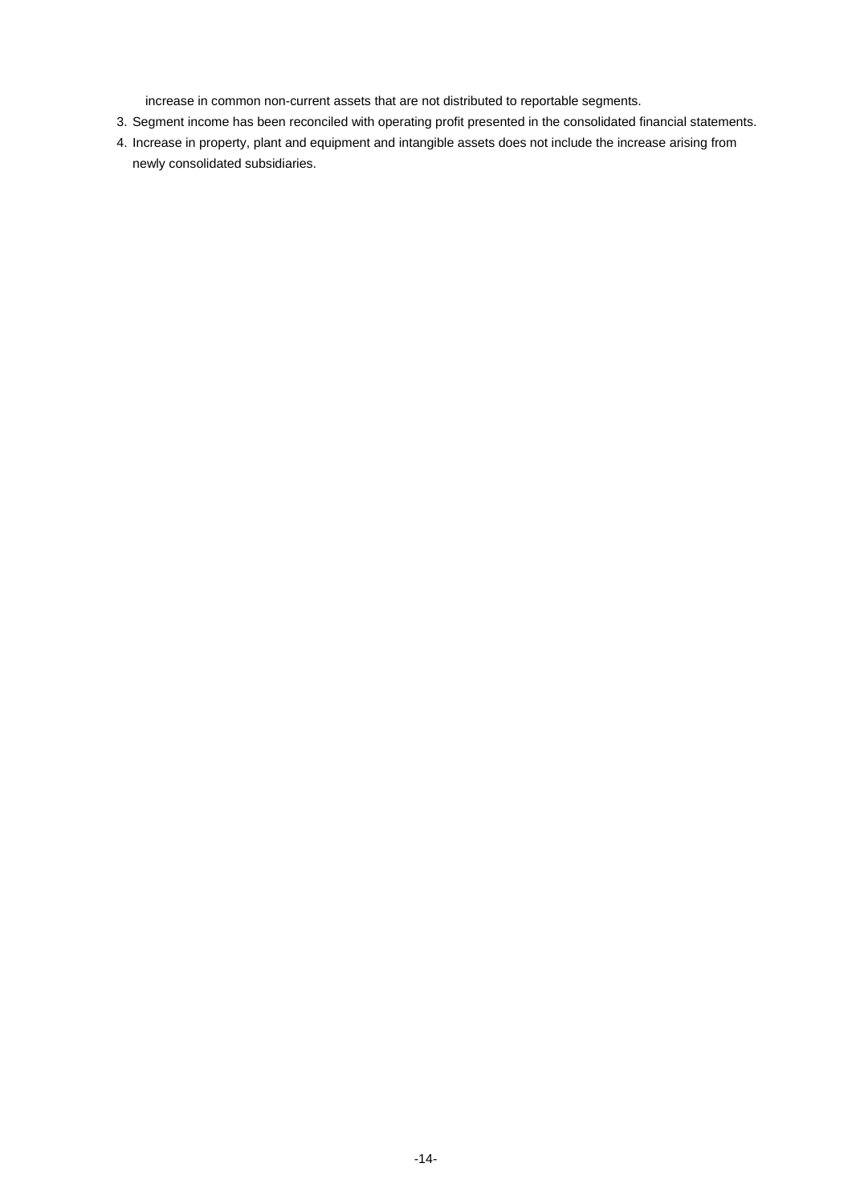increase in common non-current assets that are not distributed to reportable segments.

- 3. Segment income has been reconciled with operating profit presented in the consolidated financial statements.
- 4. Increase in property, plant and equipment and intangible assets does not include the increase arising from newly consolidated subsidiaries.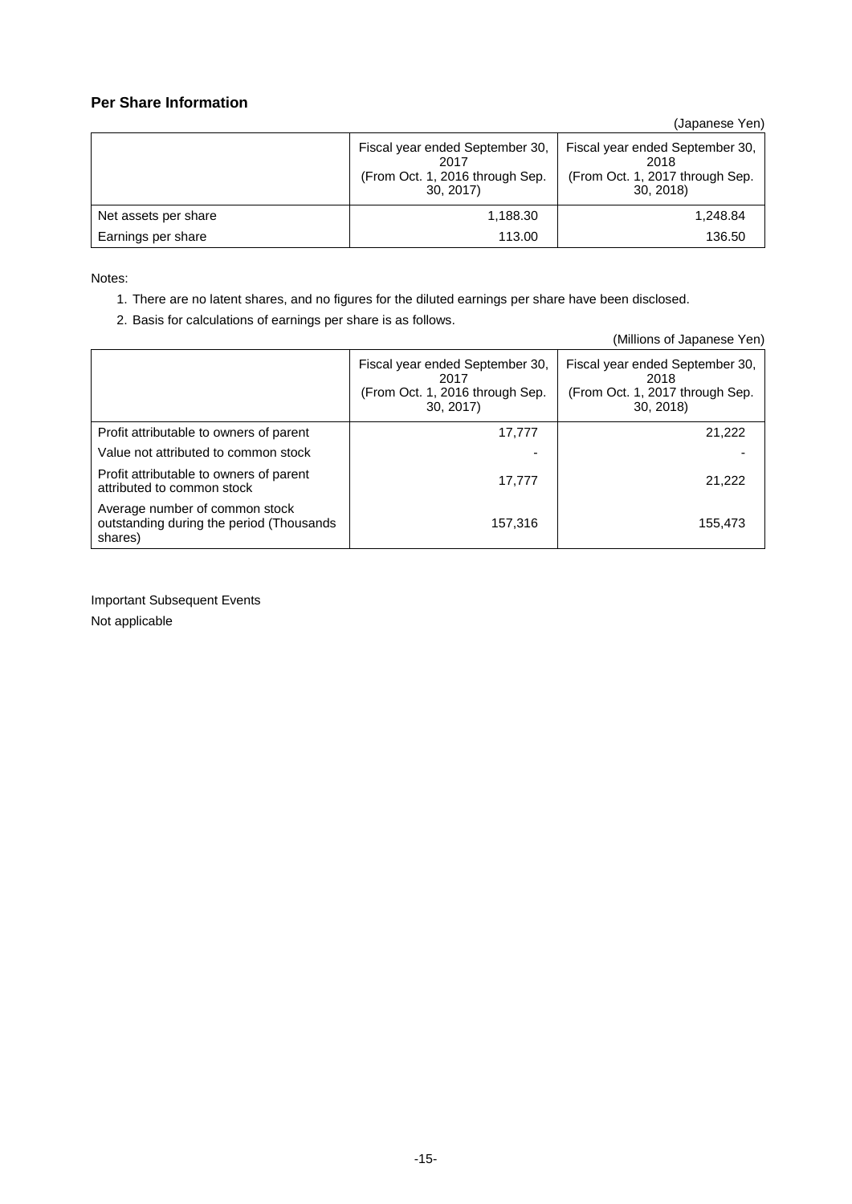## **Per Share Information**

(Japanese Yen)

|                      | Fiscal year ended September 30,<br>2017<br>(From Oct. 1, 2016 through Sep.<br>30, 2017 | Fiscal year ended September 30,<br>2018<br>(From Oct. 1, 2017 through Sep.<br>30.2018 |  |
|----------------------|----------------------------------------------------------------------------------------|---------------------------------------------------------------------------------------|--|
| Net assets per share | 1,188.30                                                                               | 1,248.84                                                                              |  |
| Earnings per share   | 113.00                                                                                 | 136.50                                                                                |  |

Notes:

- 1. There are no latent shares, and no figures for the diluted earnings per share have been disclosed.
- 2. Basis for calculations of earnings per share is as follows.

|                                                                                       |                                                                                        | (Millions of Japanese Yen)                                                             |
|---------------------------------------------------------------------------------------|----------------------------------------------------------------------------------------|----------------------------------------------------------------------------------------|
|                                                                                       | Fiscal year ended September 30,<br>2017<br>(From Oct. 1, 2016 through Sep.<br>30, 2017 | Fiscal year ended September 30,<br>2018<br>(From Oct. 1, 2017 through Sep.<br>30, 2018 |
| Profit attributable to owners of parent                                               | 17,777                                                                                 | 21,222                                                                                 |
| Value not attributed to common stock                                                  |                                                                                        |                                                                                        |
| Profit attributable to owners of parent<br>attributed to common stock                 | 17.777                                                                                 | 21,222                                                                                 |
| Average number of common stock<br>outstanding during the period (Thousands<br>shares) | 157.316                                                                                | 155,473                                                                                |

Important Subsequent Events Not applicable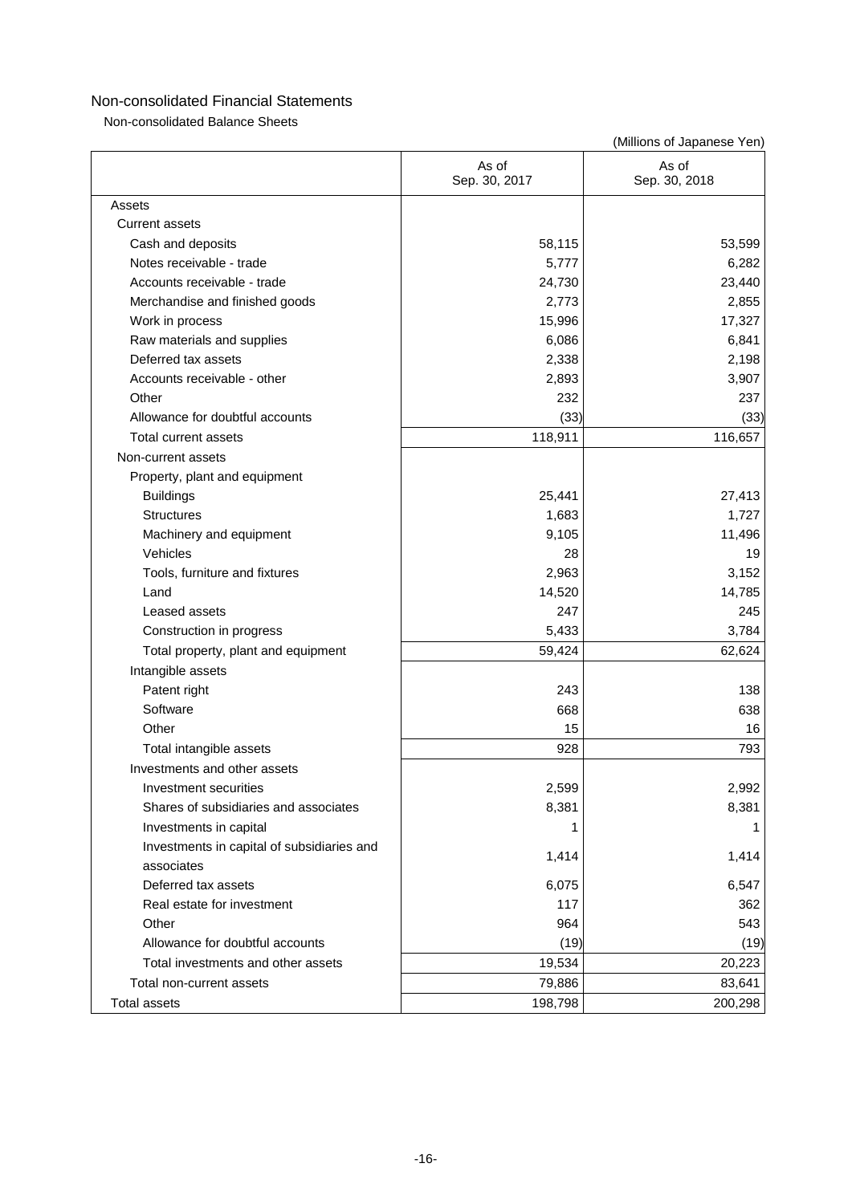Non-consolidated Balance Sheets

|                                            | As of<br>Sep. 30, 2017 | As of<br>Sep. 30, 2018 |
|--------------------------------------------|------------------------|------------------------|
| Assets                                     |                        |                        |
| <b>Current assets</b>                      |                        |                        |
| Cash and deposits                          | 58,115                 | 53,599                 |
| Notes receivable - trade                   | 5,777                  | 6,282                  |
| Accounts receivable - trade                | 24,730                 | 23,440                 |
| Merchandise and finished goods             | 2,773                  | 2,855                  |
| Work in process                            | 15,996                 | 17,327                 |
| Raw materials and supplies                 | 6,086                  | 6,841                  |
| Deferred tax assets                        | 2,338                  | 2,198                  |
| Accounts receivable - other                | 2,893                  | 3,907                  |
| Other                                      | 232                    | 237                    |
| Allowance for doubtful accounts            | (33)                   | (33)                   |
| Total current assets                       | 118,911                | 116,657                |
| Non-current assets                         |                        |                        |
| Property, plant and equipment              |                        |                        |
| <b>Buildings</b>                           | 25,441                 | 27,413                 |
| <b>Structures</b>                          | 1,683                  | 1,727                  |
| Machinery and equipment                    | 9,105                  | 11,496                 |
| Vehicles                                   | 28                     | 19                     |
| Tools, furniture and fixtures              | 2,963                  | 3,152                  |
| Land                                       | 14,520                 | 14,785                 |
| Leased assets                              | 247                    | 245                    |
| Construction in progress                   | 5,433                  | 3,784                  |
| Total property, plant and equipment        | 59,424                 | 62,624                 |
| Intangible assets                          |                        |                        |
| Patent right                               | 243                    | 138                    |
| Software                                   | 668                    | 638                    |
| Other                                      | 15                     | 16                     |
| Total intangible assets                    | 928                    | 793                    |
| Investments and other assets               |                        |                        |
| Investment securities                      | 2,599                  | 2,992                  |
| Shares of subsidiaries and associates      | 8,381                  | 8,381                  |
| Investments in capital                     | 1                      |                        |
| Investments in capital of subsidiaries and |                        |                        |
| associates                                 | 1,414                  | 1,414                  |
| Deferred tax assets                        | 6,075                  | 6,547                  |
| Real estate for investment                 | 117                    | 362                    |
| Other                                      | 964                    | 543                    |
| Allowance for doubtful accounts            | (19)                   | (19)                   |
| Total investments and other assets         | 19,534                 | 20,223                 |
| Total non-current assets                   | 79,886                 | 83,641                 |
| <b>Total assets</b>                        | 198,798                | 200,298                |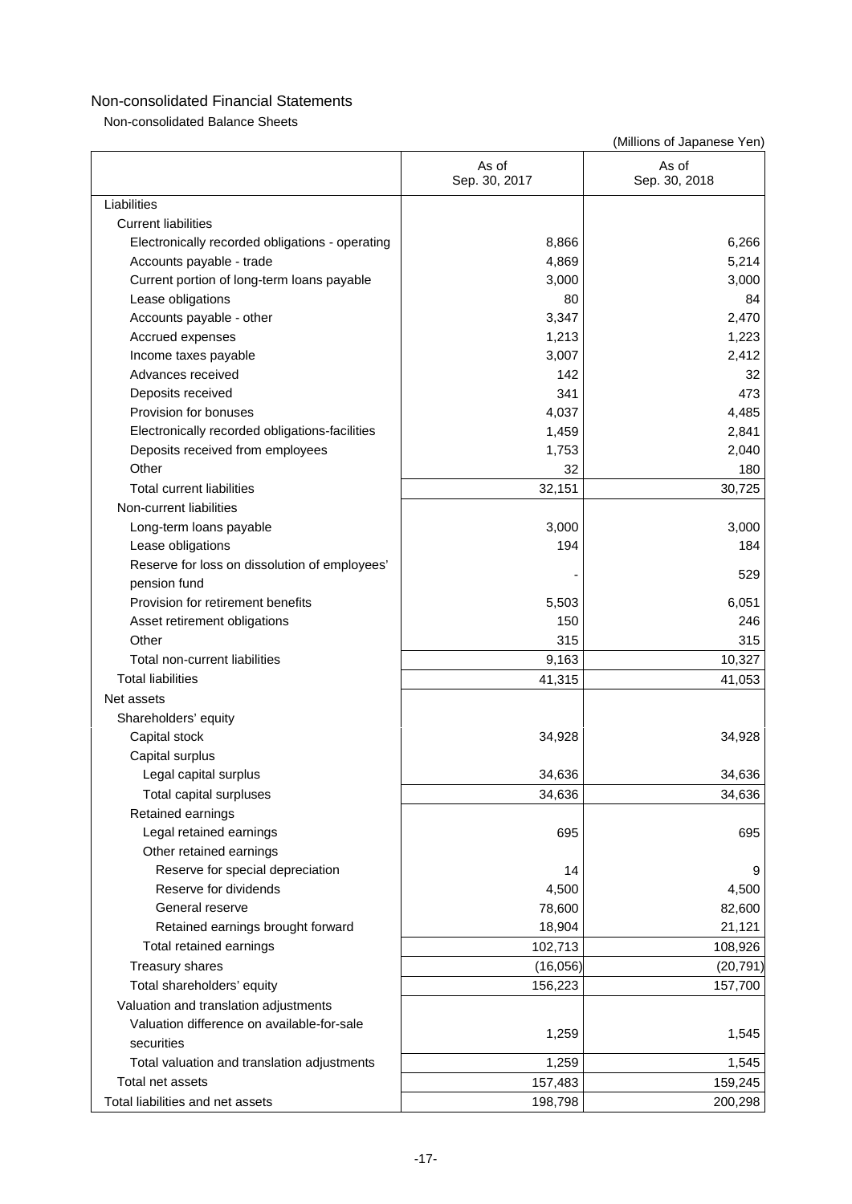Non-consolidated Balance Sheets

|                                                 | As of<br>Sep. 30, 2017 | As of<br>Sep. 30, 2018 |
|-------------------------------------------------|------------------------|------------------------|
| Liabilities                                     |                        |                        |
| <b>Current liabilities</b>                      |                        |                        |
| Electronically recorded obligations - operating | 8,866                  | 6,266                  |
| Accounts payable - trade                        | 4,869                  | 5,214                  |
| Current portion of long-term loans payable      | 3,000                  | 3,000                  |
| Lease obligations                               | 80                     | 84                     |
| Accounts payable - other                        | 3,347                  | 2,470                  |
| Accrued expenses                                | 1,213                  | 1,223                  |
| Income taxes payable                            | 3,007                  | 2,412                  |
| Advances received                               | 142                    | 32                     |
| Deposits received                               | 341                    | 473                    |
| Provision for bonuses                           | 4,037                  | 4,485                  |
| Electronically recorded obligations-facilities  | 1,459                  | 2,841                  |
| Deposits received from employees                | 1,753                  | 2,040                  |
| Other                                           | 32                     | 180                    |
| <b>Total current liabilities</b>                | 32,151                 | 30,725                 |
| Non-current liabilities                         |                        |                        |
| Long-term loans payable                         | 3,000                  | 3,000                  |
| Lease obligations                               | 194                    | 184                    |
| Reserve for loss on dissolution of employees'   |                        |                        |
| pension fund                                    |                        | 529                    |
| Provision for retirement benefits               | 5,503                  | 6,051                  |
| Asset retirement obligations                    | 150                    | 246                    |
| Other                                           | 315                    | 315                    |
| Total non-current liabilities                   | 9,163                  | 10,327                 |
| <b>Total liabilities</b>                        | 41,315                 | 41,053                 |
| Net assets                                      |                        |                        |
| Shareholders' equity                            |                        |                        |
| Capital stock                                   | 34,928                 | 34,928                 |
| Capital surplus                                 |                        |                        |
| Legal capital surplus                           | 34,636                 | 34,636                 |
| Total capital surpluses                         | 34,636                 | 34,636                 |
| Retained earnings                               |                        |                        |
| Legal retained earnings                         | 695                    | 695                    |
| Other retained earnings                         |                        |                        |
| Reserve for special depreciation                | 14                     | 9                      |
| Reserve for dividends                           | 4,500                  | 4,500                  |
| General reserve                                 | 78,600                 | 82,600                 |
| Retained earnings brought forward               | 18,904                 | 21,121                 |
| Total retained earnings                         | 102,713                | 108,926                |
| <b>Treasury shares</b>                          | (16, 056)              | (20, 791)              |
| Total shareholders' equity                      | 156,223                | 157,700                |
| Valuation and translation adjustments           |                        |                        |
| Valuation difference on available-for-sale      |                        |                        |
| securities                                      | 1,259                  | 1,545                  |
| Total valuation and translation adjustments     | 1,259                  | 1,545                  |
| Total net assets                                | 157,483                | 159,245                |
| Total liabilities and net assets                | 198,798                | 200,298                |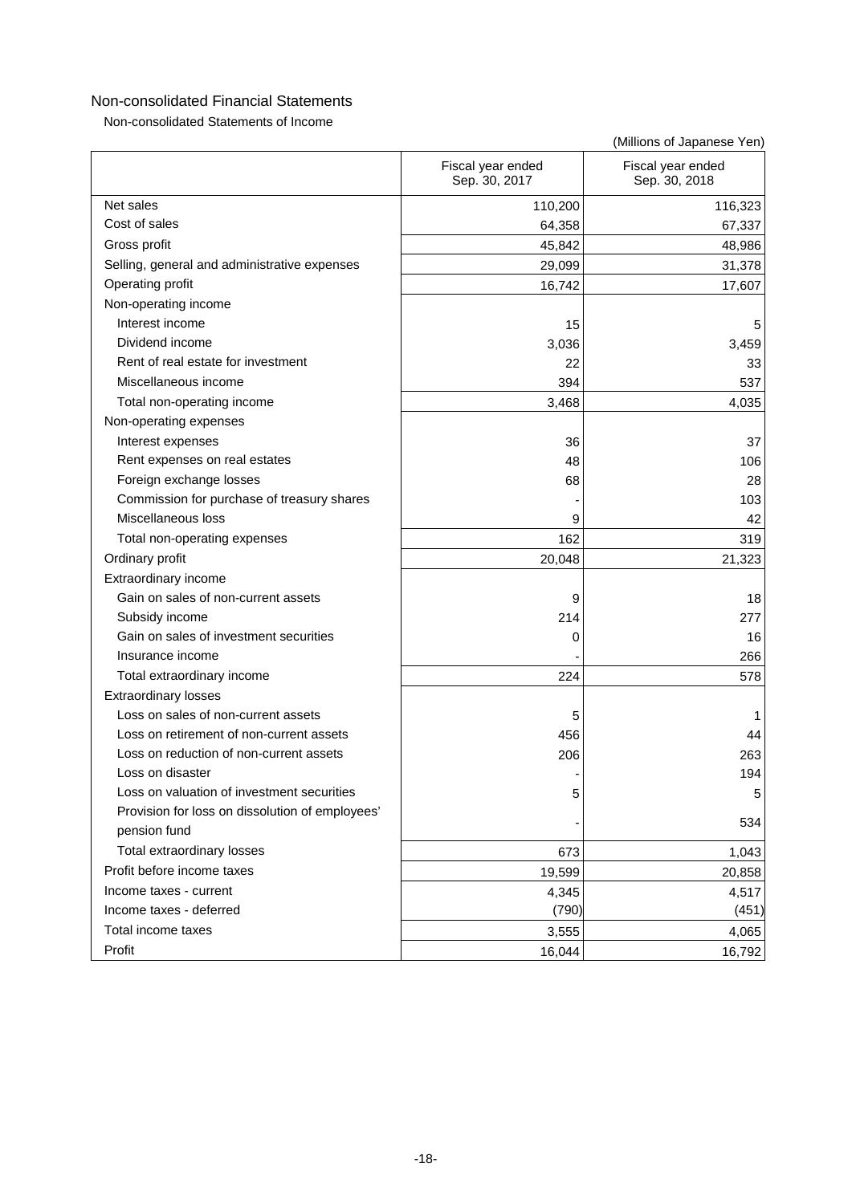Non-consolidated Statements of Income

|                                                 | Fiscal year ended<br>Sep. 30, 2017 | Fiscal year ended<br>Sep. 30, 2018 |
|-------------------------------------------------|------------------------------------|------------------------------------|
| Net sales                                       | 110,200                            | 116,323                            |
| Cost of sales                                   | 64,358                             | 67,337                             |
| Gross profit                                    | 45,842                             | 48,986                             |
| Selling, general and administrative expenses    | 29,099                             | 31,378                             |
| Operating profit                                | 16,742                             | 17,607                             |
| Non-operating income                            |                                    |                                    |
| Interest income                                 | 15                                 | 5                                  |
| Dividend income                                 | 3,036                              | 3,459                              |
| Rent of real estate for investment              | 22                                 | 33                                 |
| Miscellaneous income                            | 394                                | 537                                |
| Total non-operating income                      | 3,468                              | 4,035                              |
| Non-operating expenses                          |                                    |                                    |
| Interest expenses                               | 36                                 | 37                                 |
| Rent expenses on real estates                   | 48                                 | 106                                |
| Foreign exchange losses                         | 68                                 | 28                                 |
| Commission for purchase of treasury shares      |                                    | 103                                |
| Miscellaneous loss                              | 9                                  | 42                                 |
| Total non-operating expenses                    | 162                                | 319                                |
| Ordinary profit                                 | 20,048                             | 21,323                             |
| Extraordinary income                            |                                    |                                    |
| Gain on sales of non-current assets             | 9                                  | 18                                 |
| Subsidy income                                  | 214                                | 277                                |
| Gain on sales of investment securities          | 0                                  | 16                                 |
| Insurance income                                |                                    | 266                                |
| Total extraordinary income                      | 224                                | 578                                |
| <b>Extraordinary losses</b>                     |                                    |                                    |
| Loss on sales of non-current assets             | 5                                  |                                    |
| Loss on retirement of non-current assets        | 456                                | 44                                 |
| Loss on reduction of non-current assets         | 206                                | 263                                |
| Loss on disaster                                |                                    | 194                                |
| Loss on valuation of investment securities      | 5                                  | 5                                  |
| Provision for loss on dissolution of employees' |                                    |                                    |
| pension fund                                    |                                    | 534                                |
| Total extraordinary losses                      | 673                                | 1,043                              |
| Profit before income taxes                      | 19,599                             | 20,858                             |
| Income taxes - current                          | 4,345                              | 4,517                              |
| Income taxes - deferred                         | (790)                              | (451)                              |
| Total income taxes                              | 3,555                              | 4,065                              |
| Profit                                          | 16,044                             | 16,792                             |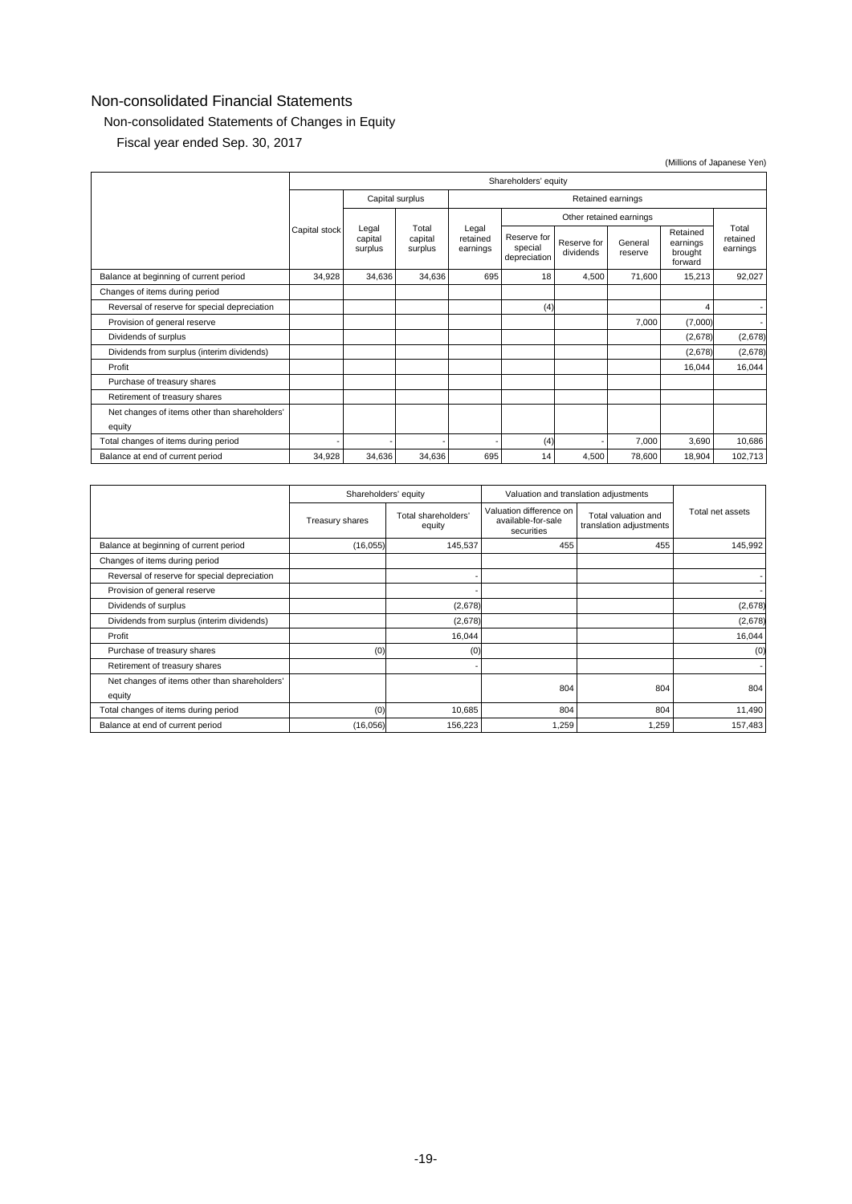# Non-consolidated Statements of Changes in Equity

Fiscal year ended Sep. 30, 2017

|                                               |                             |                                      |                                        |                          |                    |                                            |                               |         | (Millions of Japanese Yen) |  |
|-----------------------------------------------|-----------------------------|--------------------------------------|----------------------------------------|--------------------------|--------------------|--------------------------------------------|-------------------------------|---------|----------------------------|--|
|                                               | Shareholders' equity        |                                      |                                        |                          |                    |                                            |                               |         |                            |  |
|                                               |                             | Capital surplus<br>Retained earnings |                                        |                          |                    |                                            |                               |         |                            |  |
|                                               |                             |                                      |                                        |                          |                    |                                            | Other retained earnings       |         |                            |  |
| Legal<br>Capital stock<br>capital<br>surplus  | Total<br>capital<br>surplus | Legal<br>retained<br>earnings        | Reserve for<br>special<br>depreciation | Reserve for<br>dividends | General<br>reserve | Retained<br>earnings<br>brought<br>forward | Total<br>retained<br>earnings |         |                            |  |
| Balance at beginning of current period        | 34,928                      | 34,636                               | 34,636                                 | 695                      | 18                 | 4,500                                      | 71.600                        | 15,213  | 92,027                     |  |
| Changes of items during period                |                             |                                      |                                        |                          |                    |                                            |                               |         |                            |  |
| Reversal of reserve for special depreciation  |                             |                                      |                                        |                          | (4)                |                                            |                               | 4       |                            |  |
| Provision of general reserve                  |                             |                                      |                                        |                          |                    |                                            | 7,000                         | (7,000) |                            |  |
| Dividends of surplus                          |                             |                                      |                                        |                          |                    |                                            |                               | (2,678) | (2,678)                    |  |
| Dividends from surplus (interim dividends)    |                             |                                      |                                        |                          |                    |                                            |                               | (2,678) | (2,678)                    |  |
| Profit                                        |                             |                                      |                                        |                          |                    |                                            |                               | 16,044  | 16,044                     |  |
| Purchase of treasury shares                   |                             |                                      |                                        |                          |                    |                                            |                               |         |                            |  |
| Retirement of treasury shares                 |                             |                                      |                                        |                          |                    |                                            |                               |         |                            |  |
| Net changes of items other than shareholders' |                             |                                      |                                        |                          |                    |                                            |                               |         |                            |  |
| equity                                        |                             |                                      |                                        |                          |                    |                                            |                               |         |                            |  |
| Total changes of items during period          |                             |                                      |                                        |                          | (4)                |                                            | 7,000                         | 3,690   | 10,686                     |  |
| Balance at end of current period              | 34,928                      | 34,636                               | 34.636                                 | 695                      | 14                 | 4,500                                      | 78,600                        | 18,904  | 102,713                    |  |

|                                                         | Shareholders' equity |                               | Valuation and translation adjustments                       |                                                |                  |
|---------------------------------------------------------|----------------------|-------------------------------|-------------------------------------------------------------|------------------------------------------------|------------------|
|                                                         | Treasury shares      | Total shareholders'<br>equity | Valuation difference on<br>available-for-sale<br>securities | Total valuation and<br>translation adjustments | Total net assets |
| Balance at beginning of current period                  | (16, 055)            | 145,537                       | 455                                                         | 455                                            | 145,992          |
| Changes of items during period                          |                      |                               |                                                             |                                                |                  |
| Reversal of reserve for special depreciation            |                      |                               |                                                             |                                                |                  |
| Provision of general reserve                            |                      |                               |                                                             |                                                |                  |
| Dividends of surplus                                    |                      | (2,678)                       |                                                             |                                                | (2,678)          |
| Dividends from surplus (interim dividends)              |                      | (2,678)                       |                                                             |                                                | (2,678)          |
| Profit                                                  |                      | 16,044                        |                                                             |                                                | 16,044           |
| Purchase of treasury shares                             | (0)                  | (0)                           |                                                             |                                                | (0)              |
| Retirement of treasury shares                           |                      |                               |                                                             |                                                |                  |
| Net changes of items other than shareholders'<br>equity |                      |                               | 804                                                         | 804                                            | 804              |
| Total changes of items during period                    | (0)                  | 10,685                        | 804                                                         | 804                                            | 11,490           |
| Balance at end of current period                        | (16, 056)            | 156,223                       | 1,259                                                       | 1,259                                          | 157,483          |